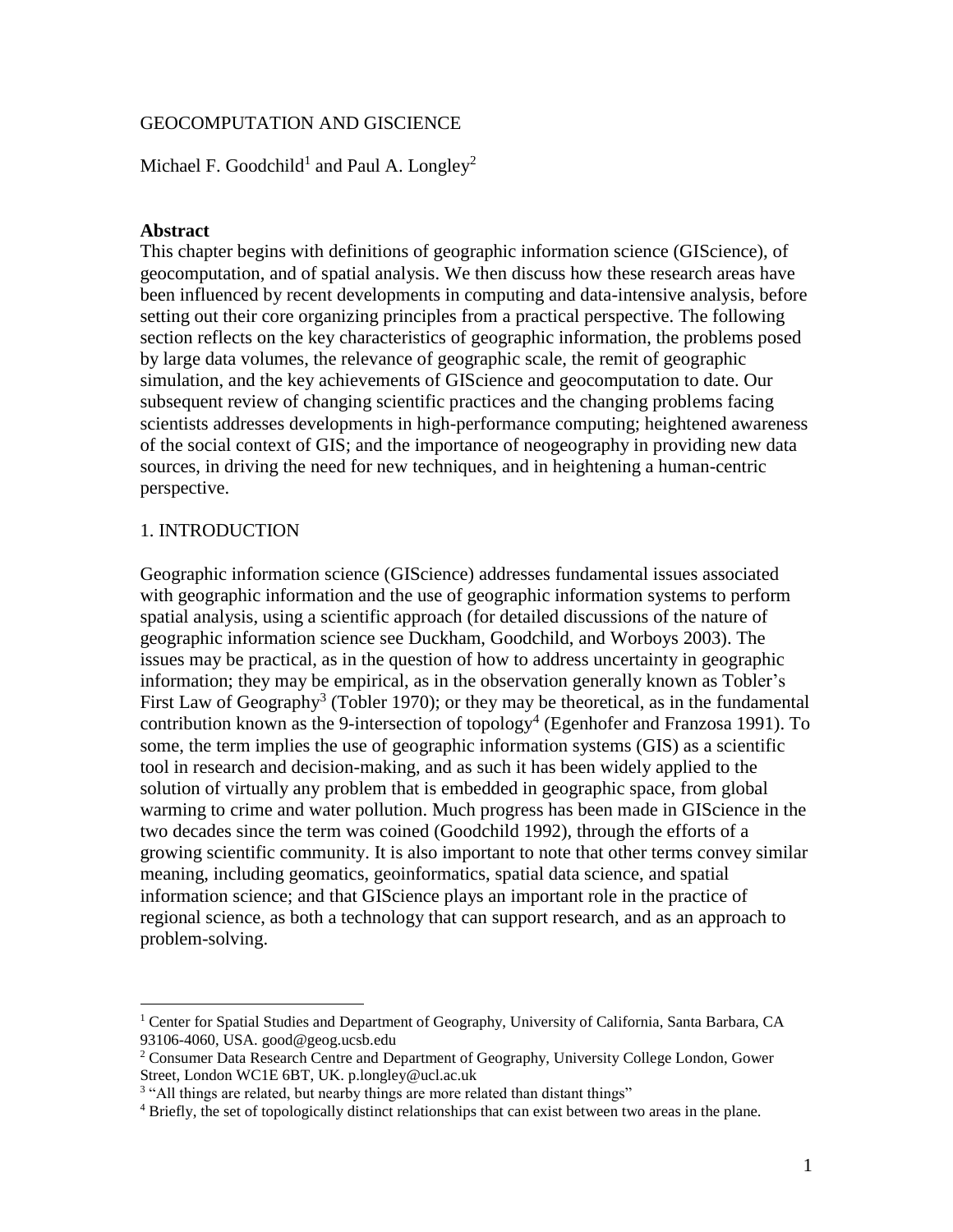## GEOCOMPUTATION AND GISCIENCE

## Michael F. Goodchild<sup>1</sup> and Paul A. Longley<sup>2</sup>

### **Abstract**

This chapter begins with definitions of geographic information science (GIScience), of geocomputation, and of spatial analysis. We then discuss how these research areas have been influenced by recent developments in computing and data-intensive analysis, before setting out their core organizing principles from a practical perspective. The following section reflects on the key characteristics of geographic information, the problems posed by large data volumes, the relevance of geographic scale, the remit of geographic simulation, and the key achievements of GIScience and geocomputation to date. Our subsequent review of changing scientific practices and the changing problems facing scientists addresses developments in high-performance computing; heightened awareness of the social context of GIS; and the importance of neogeography in providing new data sources, in driving the need for new techniques, and in heightening a human-centric perspective.

### 1. INTRODUCTION

 $\overline{a}$ 

Geographic information science (GIScience) addresses fundamental issues associated with geographic information and the use of geographic information systems to perform spatial analysis, using a scientific approach (for detailed discussions of the nature of geographic information science see Duckham, Goodchild, and Worboys 2003). The issues may be practical, as in the question of how to address uncertainty in geographic information; they may be empirical, as in the observation generally known as Tobler's First Law of Geography<sup>3</sup> (Tobler 1970); or they may be theoretical, as in the fundamental contribution known as the 9-intersection of topology<sup>4</sup> (Egenhofer and Franzosa 1991). To some, the term implies the use of geographic information systems (GIS) as a scientific tool in research and decision-making, and as such it has been widely applied to the solution of virtually any problem that is embedded in geographic space, from global warming to crime and water pollution. Much progress has been made in GIScience in the two decades since the term was coined (Goodchild 1992), through the efforts of a growing scientific community. It is also important to note that other terms convey similar meaning, including geomatics, geoinformatics, spatial data science, and spatial information science; and that GIScience plays an important role in the practice of regional science, as both a technology that can support research, and as an approach to problem-solving.

<sup>&</sup>lt;sup>1</sup> Center for Spatial Studies and Department of Geography, University of California, Santa Barbara, CA 93106-4060, USA. good@geog.ucsb.edu

<sup>&</sup>lt;sup>2</sup> Consumer Data Research Centre and Department of Geography, University College London, Gower Street, London WC1E 6BT, UK. p.longley@ucl.ac.uk

<sup>&</sup>lt;sup>3</sup> "All things are related, but nearby things are more related than distant things"

<sup>&</sup>lt;sup>4</sup> Briefly, the set of topologically distinct relationships that can exist between two areas in the plane.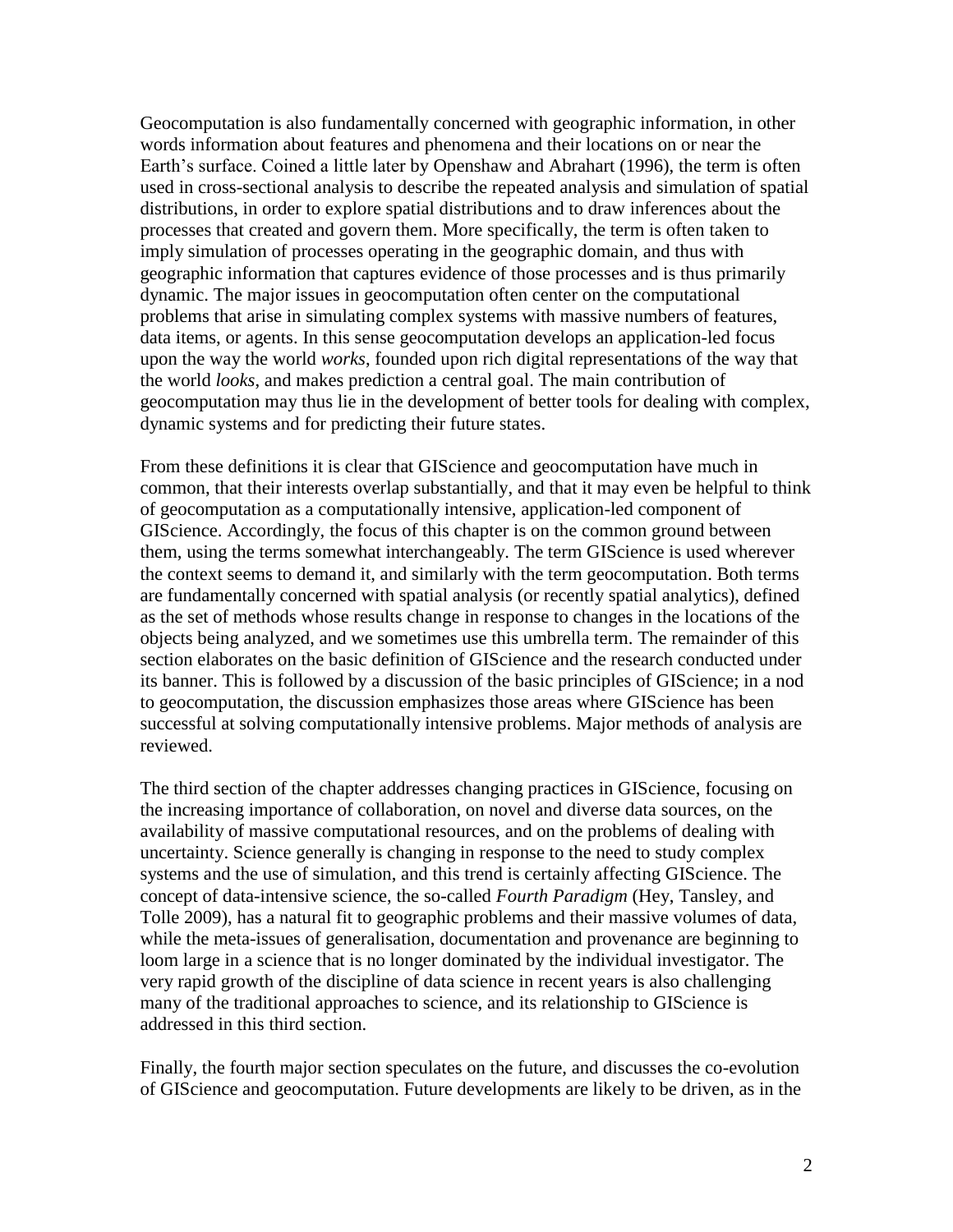Geocomputation is also fundamentally concerned with geographic information, in other words information about features and phenomena and their locations on or near the Earth's surface. Coined a little later by Openshaw and Abrahart (1996), the term is often used in cross-sectional analysis to describe the repeated analysis and simulation of spatial distributions, in order to explore spatial distributions and to draw inferences about the processes that created and govern them. More specifically, the term is often taken to imply simulation of processes operating in the geographic domain, and thus with geographic information that captures evidence of those processes and is thus primarily dynamic. The major issues in geocomputation often center on the computational problems that arise in simulating complex systems with massive numbers of features, data items, or agents. In this sense geocomputation develops an application-led focus upon the way the world *works*, founded upon rich digital representations of the way that the world *looks*, and makes prediction a central goal. The main contribution of geocomputation may thus lie in the development of better tools for dealing with complex, dynamic systems and for predicting their future states.

From these definitions it is clear that GIScience and geocomputation have much in common, that their interests overlap substantially, and that it may even be helpful to think of geocomputation as a computationally intensive, application-led component of GIScience. Accordingly, the focus of this chapter is on the common ground between them, using the terms somewhat interchangeably. The term GIScience is used wherever the context seems to demand it, and similarly with the term geocomputation. Both terms are fundamentally concerned with spatial analysis (or recently spatial analytics), defined as the set of methods whose results change in response to changes in the locations of the objects being analyzed, and we sometimes use this umbrella term. The remainder of this section elaborates on the basic definition of GIScience and the research conducted under its banner. This is followed by a discussion of the basic principles of GIScience; in a nod to geocomputation, the discussion emphasizes those areas where GIScience has been successful at solving computationally intensive problems. Major methods of analysis are reviewed.

The third section of the chapter addresses changing practices in GIScience, focusing on the increasing importance of collaboration, on novel and diverse data sources, on the availability of massive computational resources, and on the problems of dealing with uncertainty. Science generally is changing in response to the need to study complex systems and the use of simulation, and this trend is certainly affecting GIScience. The concept of data-intensive science, the so-called *Fourth Paradigm* (Hey, Tansley, and Tolle 2009), has a natural fit to geographic problems and their massive volumes of data, while the meta-issues of generalisation, documentation and provenance are beginning to loom large in a science that is no longer dominated by the individual investigator. The very rapid growth of the discipline of data science in recent years is also challenging many of the traditional approaches to science, and its relationship to GIScience is addressed in this third section.

Finally, the fourth major section speculates on the future, and discusses the co-evolution of GIScience and geocomputation. Future developments are likely to be driven, as in the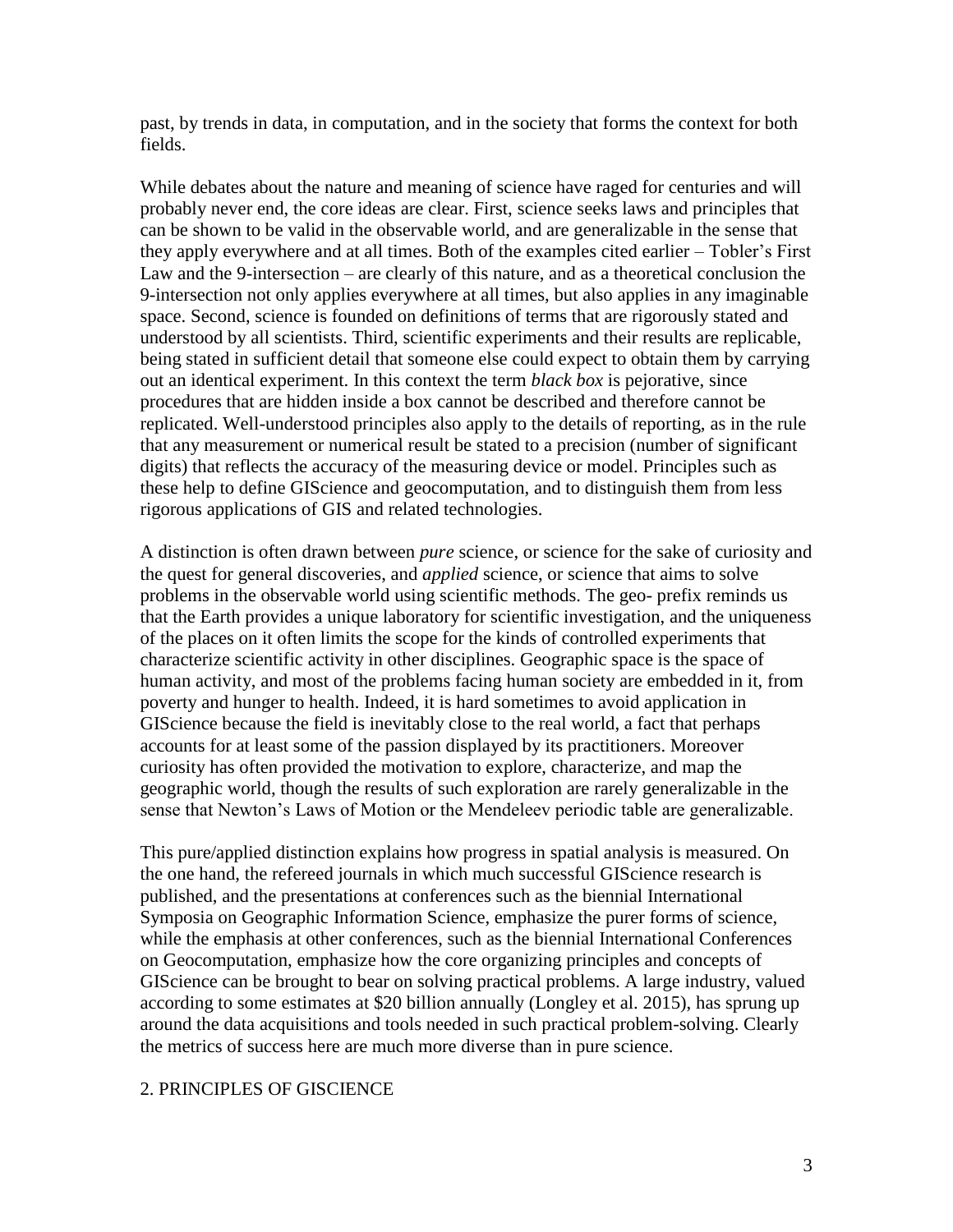past, by trends in data, in computation, and in the society that forms the context for both fields.

While debates about the nature and meaning of science have raged for centuries and will probably never end, the core ideas are clear. First, science seeks laws and principles that can be shown to be valid in the observable world, and are generalizable in the sense that they apply everywhere and at all times. Both of the examples cited earlier – Tobler's First Law and the 9-intersection – are clearly of this nature, and as a theoretical conclusion the 9-intersection not only applies everywhere at all times, but also applies in any imaginable space. Second, science is founded on definitions of terms that are rigorously stated and understood by all scientists. Third, scientific experiments and their results are replicable, being stated in sufficient detail that someone else could expect to obtain them by carrying out an identical experiment. In this context the term *black box* is pejorative, since procedures that are hidden inside a box cannot be described and therefore cannot be replicated. Well-understood principles also apply to the details of reporting, as in the rule that any measurement or numerical result be stated to a precision (number of significant digits) that reflects the accuracy of the measuring device or model. Principles such as these help to define GIScience and geocomputation, and to distinguish them from less rigorous applications of GIS and related technologies.

A distinction is often drawn between *pure* science, or science for the sake of curiosity and the quest for general discoveries, and *applied* science, or science that aims to solve problems in the observable world using scientific methods. The geo- prefix reminds us that the Earth provides a unique laboratory for scientific investigation, and the uniqueness of the places on it often limits the scope for the kinds of controlled experiments that characterize scientific activity in other disciplines. Geographic space is the space of human activity, and most of the problems facing human society are embedded in it, from poverty and hunger to health. Indeed, it is hard sometimes to avoid application in GIScience because the field is inevitably close to the real world, a fact that perhaps accounts for at least some of the passion displayed by its practitioners. Moreover curiosity has often provided the motivation to explore, characterize, and map the geographic world, though the results of such exploration are rarely generalizable in the sense that Newton's Laws of Motion or the Mendeleev periodic table are generalizable.

This pure/applied distinction explains how progress in spatial analysis is measured. On the one hand, the refereed journals in which much successful GIScience research is published, and the presentations at conferences such as the biennial International Symposia on Geographic Information Science, emphasize the purer forms of science, while the emphasis at other conferences, such as the biennial International Conferences on Geocomputation, emphasize how the core organizing principles and concepts of GIScience can be brought to bear on solving practical problems. A large industry, valued according to some estimates at \$20 billion annually (Longley et al. 2015), has sprung up around the data acquisitions and tools needed in such practical problem-solving. Clearly the metrics of success here are much more diverse than in pure science.

### 2. PRINCIPLES OF GISCIENCE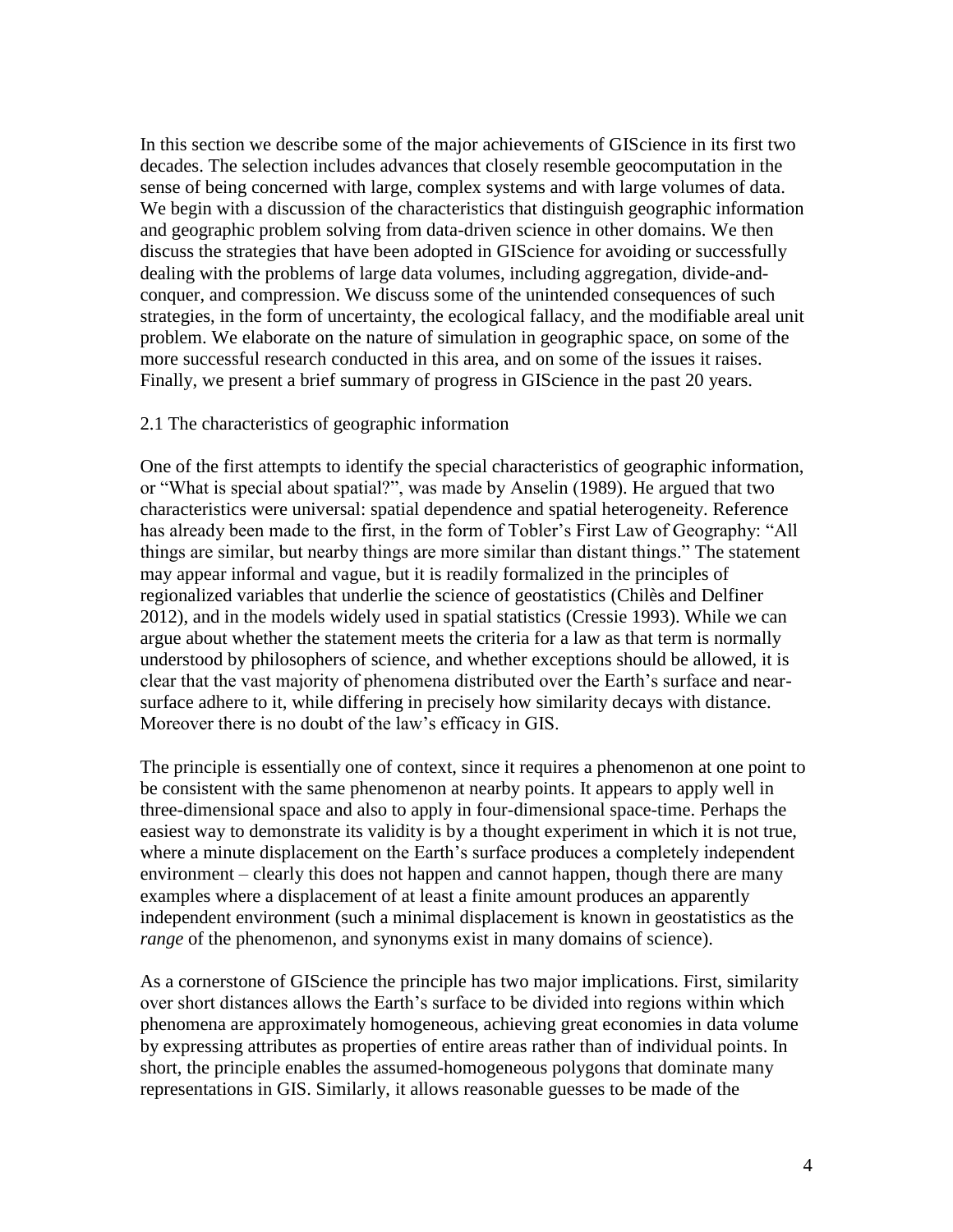In this section we describe some of the major achievements of GIScience in its first two decades. The selection includes advances that closely resemble geocomputation in the sense of being concerned with large, complex systems and with large volumes of data. We begin with a discussion of the characteristics that distinguish geographic information and geographic problem solving from data-driven science in other domains. We then discuss the strategies that have been adopted in GIScience for avoiding or successfully dealing with the problems of large data volumes, including aggregation, divide-andconquer, and compression. We discuss some of the unintended consequences of such strategies, in the form of uncertainty, the ecological fallacy, and the modifiable areal unit problem. We elaborate on the nature of simulation in geographic space, on some of the more successful research conducted in this area, and on some of the issues it raises. Finally, we present a brief summary of progress in GIScience in the past 20 years.

### 2.1 The characteristics of geographic information

One of the first attempts to identify the special characteristics of geographic information, or "What is special about spatial?", was made by Anselin (1989). He argued that two characteristics were universal: spatial dependence and spatial heterogeneity. Reference has already been made to the first, in the form of Tobler's First Law of Geography: "All things are similar, but nearby things are more similar than distant things." The statement may appear informal and vague, but it is readily formalized in the principles of regionalized variables that underlie the science of geostatistics (Chilès and Delfiner 2012), and in the models widely used in spatial statistics (Cressie 1993). While we can argue about whether the statement meets the criteria for a law as that term is normally understood by philosophers of science, and whether exceptions should be allowed, it is clear that the vast majority of phenomena distributed over the Earth's surface and nearsurface adhere to it, while differing in precisely how similarity decays with distance. Moreover there is no doubt of the law's efficacy in GIS.

The principle is essentially one of context, since it requires a phenomenon at one point to be consistent with the same phenomenon at nearby points. It appears to apply well in three-dimensional space and also to apply in four-dimensional space-time. Perhaps the easiest way to demonstrate its validity is by a thought experiment in which it is not true, where a minute displacement on the Earth's surface produces a completely independent environment – clearly this does not happen and cannot happen, though there are many examples where a displacement of at least a finite amount produces an apparently independent environment (such a minimal displacement is known in geostatistics as the *range* of the phenomenon, and synonyms exist in many domains of science).

As a cornerstone of GIScience the principle has two major implications. First, similarity over short distances allows the Earth's surface to be divided into regions within which phenomena are approximately homogeneous, achieving great economies in data volume by expressing attributes as properties of entire areas rather than of individual points. In short, the principle enables the assumed-homogeneous polygons that dominate many representations in GIS. Similarly, it allows reasonable guesses to be made of the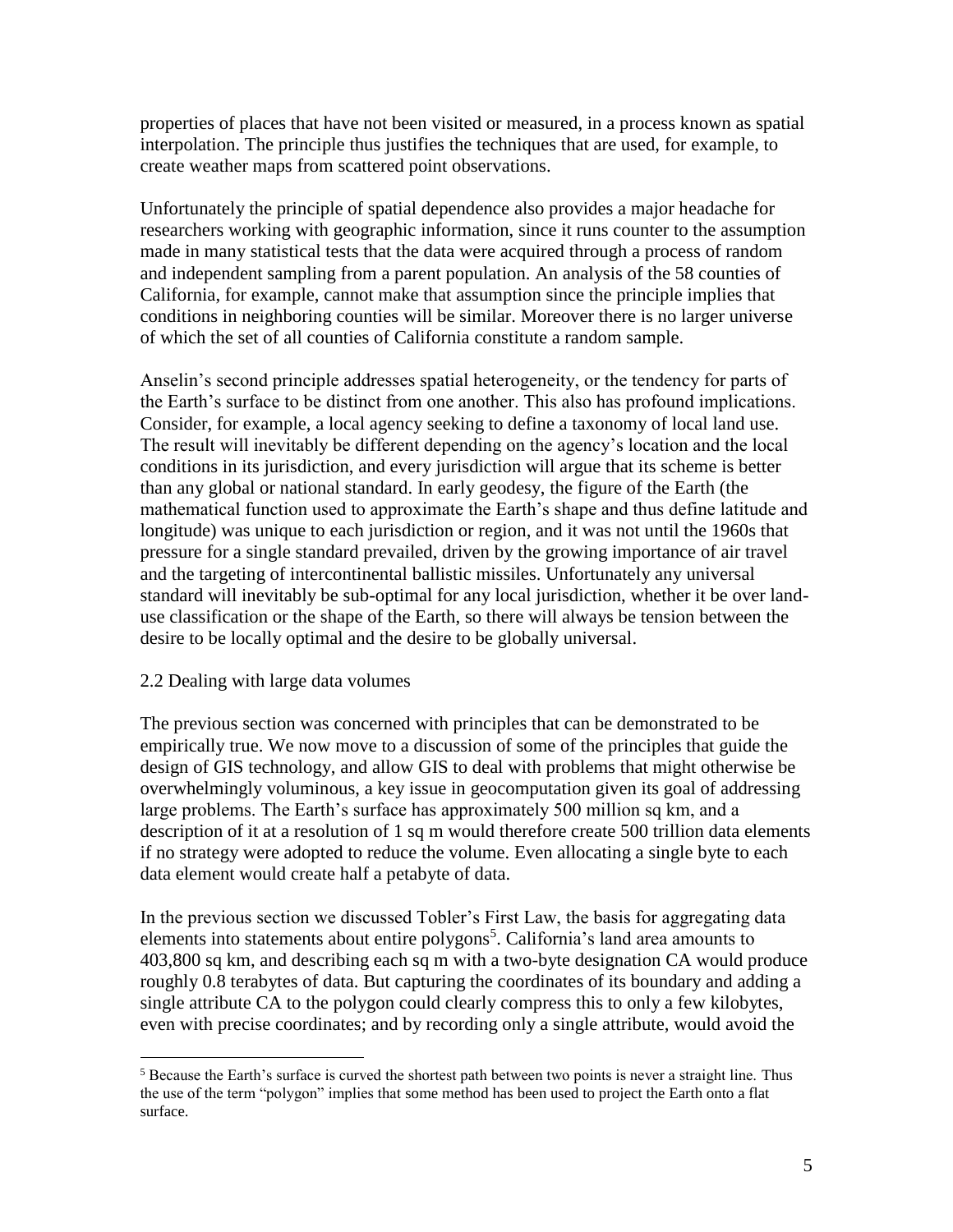properties of places that have not been visited or measured, in a process known as spatial interpolation. The principle thus justifies the techniques that are used, for example, to create weather maps from scattered point observations.

Unfortunately the principle of spatial dependence also provides a major headache for researchers working with geographic information, since it runs counter to the assumption made in many statistical tests that the data were acquired through a process of random and independent sampling from a parent population. An analysis of the 58 counties of California, for example, cannot make that assumption since the principle implies that conditions in neighboring counties will be similar. Moreover there is no larger universe of which the set of all counties of California constitute a random sample.

Anselin's second principle addresses spatial heterogeneity, or the tendency for parts of the Earth's surface to be distinct from one another. This also has profound implications. Consider, for example, a local agency seeking to define a taxonomy of local land use. The result will inevitably be different depending on the agency's location and the local conditions in its jurisdiction, and every jurisdiction will argue that its scheme is better than any global or national standard. In early geodesy, the figure of the Earth (the mathematical function used to approximate the Earth's shape and thus define latitude and longitude) was unique to each jurisdiction or region, and it was not until the 1960s that pressure for a single standard prevailed, driven by the growing importance of air travel and the targeting of intercontinental ballistic missiles. Unfortunately any universal standard will inevitably be sub-optimal for any local jurisdiction, whether it be over landuse classification or the shape of the Earth, so there will always be tension between the desire to be locally optimal and the desire to be globally universal.

### 2.2 Dealing with large data volumes

 $\overline{a}$ 

The previous section was concerned with principles that can be demonstrated to be empirically true. We now move to a discussion of some of the principles that guide the design of GIS technology, and allow GIS to deal with problems that might otherwise be overwhelmingly voluminous, a key issue in geocomputation given its goal of addressing large problems. The Earth's surface has approximately 500 million sq km, and a description of it at a resolution of 1 sq m would therefore create 500 trillion data elements if no strategy were adopted to reduce the volume. Even allocating a single byte to each data element would create half a petabyte of data.

In the previous section we discussed Tobler's First Law, the basis for aggregating data elements into statements about entire polygons<sup>5</sup>. California's land area amounts to 403,800 sq km, and describing each sq m with a two-byte designation CA would produce roughly 0.8 terabytes of data. But capturing the coordinates of its boundary and adding a single attribute CA to the polygon could clearly compress this to only a few kilobytes, even with precise coordinates; and by recording only a single attribute, would avoid the

 $<sup>5</sup>$  Because the Earth's surface is curved the shortest path between two points is never a straight line. Thus</sup> the use of the term "polygon" implies that some method has been used to project the Earth onto a flat surface.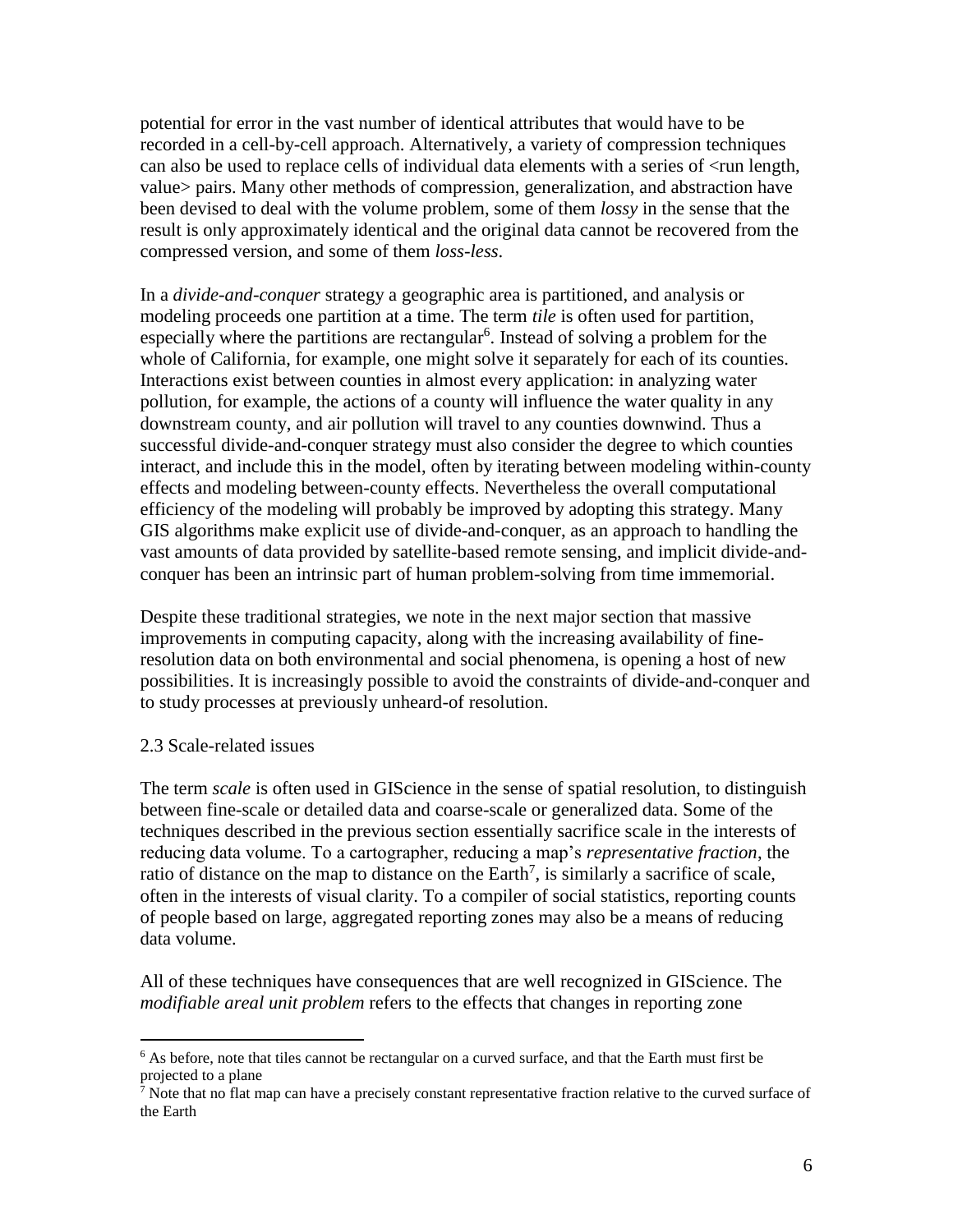potential for error in the vast number of identical attributes that would have to be recorded in a cell-by-cell approach. Alternatively, a variety of compression techniques can also be used to replace cells of individual data elements with a series of  $\langle$ run length, value> pairs. Many other methods of compression, generalization, and abstraction have been devised to deal with the volume problem, some of them *lossy* in the sense that the result is only approximately identical and the original data cannot be recovered from the compressed version, and some of them *loss-less*.

In a *divide-and-conquer* strategy a geographic area is partitioned, and analysis or modeling proceeds one partition at a time. The term *tile* is often used for partition, especially where the partitions are rectangular<sup>6</sup>. Instead of solving a problem for the whole of California, for example, one might solve it separately for each of its counties. Interactions exist between counties in almost every application: in analyzing water pollution, for example, the actions of a county will influence the water quality in any downstream county, and air pollution will travel to any counties downwind. Thus a successful divide-and-conquer strategy must also consider the degree to which counties interact, and include this in the model, often by iterating between modeling within-county effects and modeling between-county effects. Nevertheless the overall computational efficiency of the modeling will probably be improved by adopting this strategy. Many GIS algorithms make explicit use of divide-and-conquer, as an approach to handling the vast amounts of data provided by satellite-based remote sensing, and implicit divide-andconquer has been an intrinsic part of human problem-solving from time immemorial.

Despite these traditional strategies, we note in the next major section that massive improvements in computing capacity, along with the increasing availability of fineresolution data on both environmental and social phenomena, is opening a host of new possibilities. It is increasingly possible to avoid the constraints of divide-and-conquer and to study processes at previously unheard-of resolution.

## 2.3 Scale-related issues

 $\overline{a}$ 

The term *scale* is often used in GIScience in the sense of spatial resolution, to distinguish between fine-scale or detailed data and coarse-scale or generalized data. Some of the techniques described in the previous section essentially sacrifice scale in the interests of reducing data volume. To a cartographer, reducing a map's *representative fraction*, the ratio of distance on the map to distance on the Earth<sup>7</sup>, is similarly a sacrifice of scale, often in the interests of visual clarity. To a compiler of social statistics, reporting counts of people based on large, aggregated reporting zones may also be a means of reducing data volume.

All of these techniques have consequences that are well recognized in GIScience. The *modifiable areal unit problem* refers to the effects that changes in reporting zone

 $6$  As before, note that tiles cannot be rectangular on a curved surface, and that the Earth must first be projected to a plane

 $<sup>7</sup>$  Note that no flat map can have a precisely constant representative fraction relative to the curved surface of</sup> the Earth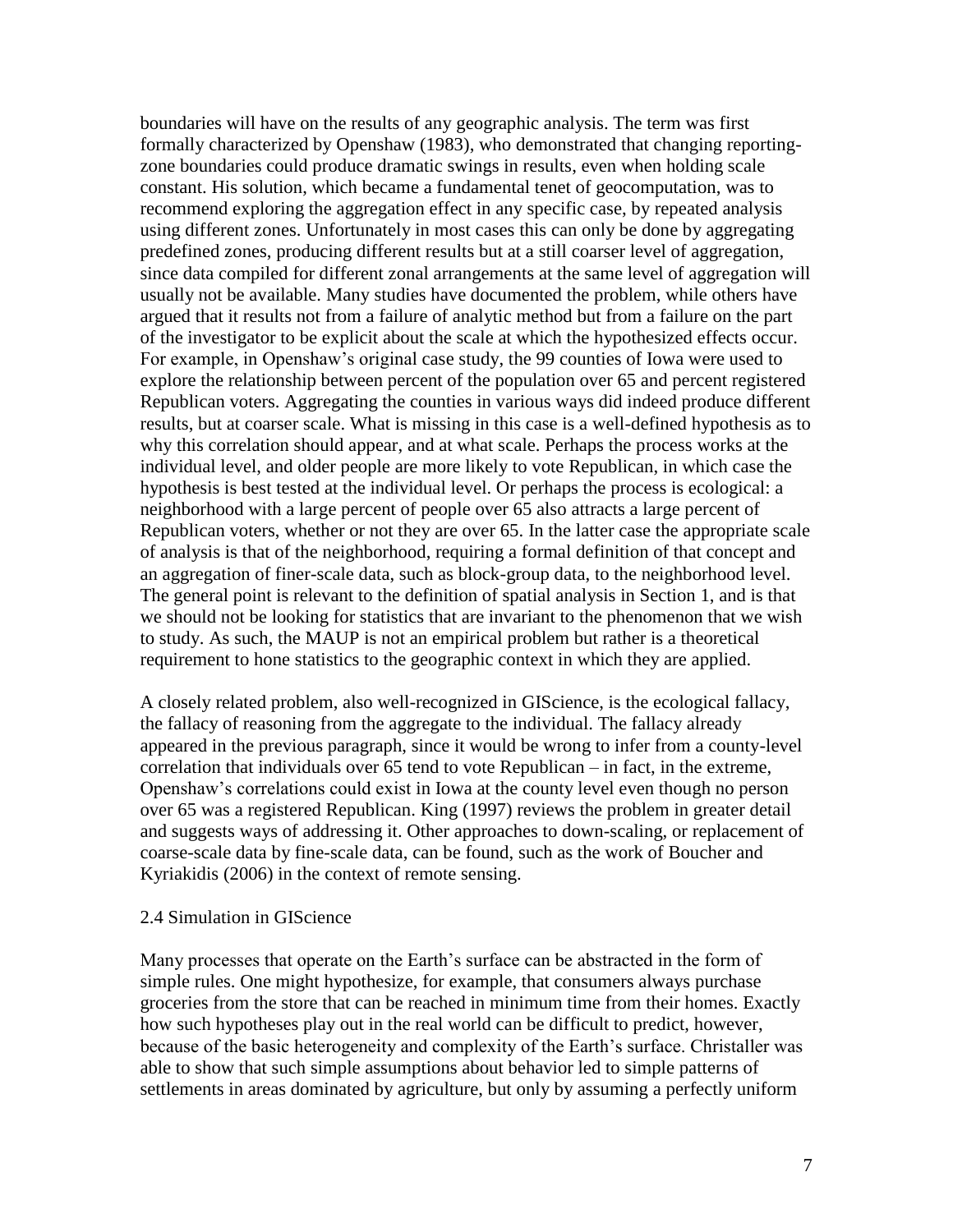boundaries will have on the results of any geographic analysis. The term was first formally characterized by Openshaw (1983), who demonstrated that changing reportingzone boundaries could produce dramatic swings in results, even when holding scale constant. His solution, which became a fundamental tenet of geocomputation, was to recommend exploring the aggregation effect in any specific case, by repeated analysis using different zones. Unfortunately in most cases this can only be done by aggregating predefined zones, producing different results but at a still coarser level of aggregation, since data compiled for different zonal arrangements at the same level of aggregation will usually not be available. Many studies have documented the problem, while others have argued that it results not from a failure of analytic method but from a failure on the part of the investigator to be explicit about the scale at which the hypothesized effects occur. For example, in Openshaw's original case study, the 99 counties of Iowa were used to explore the relationship between percent of the population over 65 and percent registered Republican voters. Aggregating the counties in various ways did indeed produce different results, but at coarser scale. What is missing in this case is a well-defined hypothesis as to why this correlation should appear, and at what scale. Perhaps the process works at the individual level, and older people are more likely to vote Republican, in which case the hypothesis is best tested at the individual level. Or perhaps the process is ecological: a neighborhood with a large percent of people over 65 also attracts a large percent of Republican voters, whether or not they are over 65. In the latter case the appropriate scale of analysis is that of the neighborhood, requiring a formal definition of that concept and an aggregation of finer-scale data, such as block-group data, to the neighborhood level. The general point is relevant to the definition of spatial analysis in Section 1, and is that we should not be looking for statistics that are invariant to the phenomenon that we wish to study. As such, the MAUP is not an empirical problem but rather is a theoretical requirement to hone statistics to the geographic context in which they are applied.

A closely related problem, also well-recognized in GIScience, is the ecological fallacy, the fallacy of reasoning from the aggregate to the individual. The fallacy already appeared in the previous paragraph, since it would be wrong to infer from a county-level correlation that individuals over 65 tend to vote Republican – in fact, in the extreme, Openshaw's correlations could exist in Iowa at the county level even though no person over 65 was a registered Republican. King (1997) reviews the problem in greater detail and suggests ways of addressing it. Other approaches to down-scaling, or replacement of coarse-scale data by fine-scale data, can be found, such as the work of Boucher and Kyriakidis (2006) in the context of remote sensing.

### 2.4 Simulation in GIScience

Many processes that operate on the Earth's surface can be abstracted in the form of simple rules. One might hypothesize, for example, that consumers always purchase groceries from the store that can be reached in minimum time from their homes. Exactly how such hypotheses play out in the real world can be difficult to predict, however, because of the basic heterogeneity and complexity of the Earth's surface. Christaller was able to show that such simple assumptions about behavior led to simple patterns of settlements in areas dominated by agriculture, but only by assuming a perfectly uniform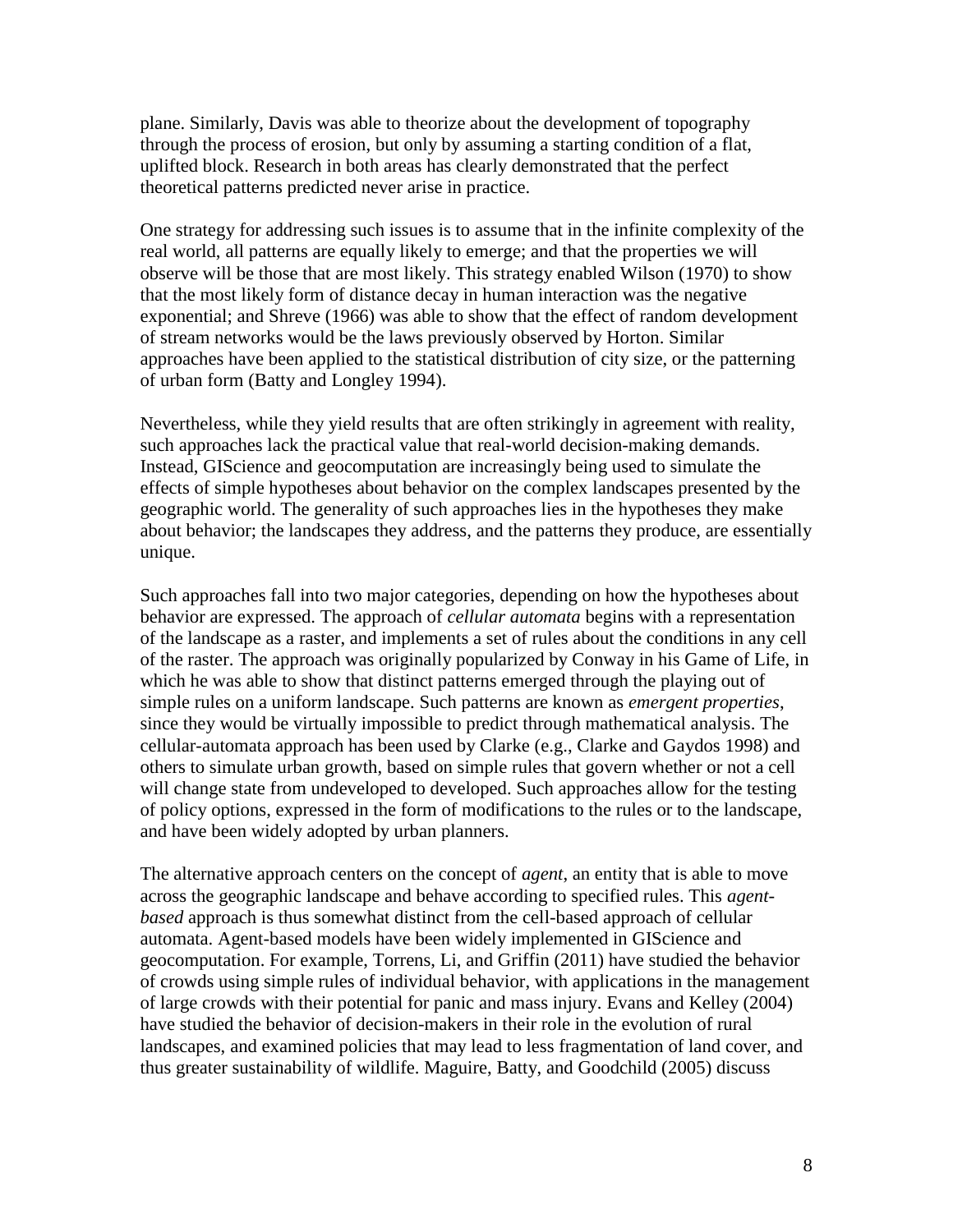plane. Similarly, Davis was able to theorize about the development of topography through the process of erosion, but only by assuming a starting condition of a flat, uplifted block. Research in both areas has clearly demonstrated that the perfect theoretical patterns predicted never arise in practice.

One strategy for addressing such issues is to assume that in the infinite complexity of the real world, all patterns are equally likely to emerge; and that the properties we will observe will be those that are most likely. This strategy enabled Wilson (1970) to show that the most likely form of distance decay in human interaction was the negative exponential; and Shreve (1966) was able to show that the effect of random development of stream networks would be the laws previously observed by Horton. Similar approaches have been applied to the statistical distribution of city size, or the patterning of urban form (Batty and Longley 1994).

Nevertheless, while they yield results that are often strikingly in agreement with reality, such approaches lack the practical value that real-world decision-making demands. Instead, GIScience and geocomputation are increasingly being used to simulate the effects of simple hypotheses about behavior on the complex landscapes presented by the geographic world. The generality of such approaches lies in the hypotheses they make about behavior; the landscapes they address, and the patterns they produce, are essentially unique.

Such approaches fall into two major categories, depending on how the hypotheses about behavior are expressed. The approach of *cellular automata* begins with a representation of the landscape as a raster, and implements a set of rules about the conditions in any cell of the raster. The approach was originally popularized by Conway in his Game of Life, in which he was able to show that distinct patterns emerged through the playing out of simple rules on a uniform landscape. Such patterns are known as *emergent properties*, since they would be virtually impossible to predict through mathematical analysis. The cellular-automata approach has been used by Clarke (e.g., Clarke and Gaydos 1998) and others to simulate urban growth, based on simple rules that govern whether or not a cell will change state from undeveloped to developed. Such approaches allow for the testing of policy options, expressed in the form of modifications to the rules or to the landscape, and have been widely adopted by urban planners.

The alternative approach centers on the concept of *agent*, an entity that is able to move across the geographic landscape and behave according to specified rules. This *agentbased* approach is thus somewhat distinct from the cell-based approach of cellular automata. Agent-based models have been widely implemented in GIScience and geocomputation. For example, Torrens, Li, and Griffin (2011) have studied the behavior of crowds using simple rules of individual behavior, with applications in the management of large crowds with their potential for panic and mass injury. Evans and Kelley (2004) have studied the behavior of decision-makers in their role in the evolution of rural landscapes, and examined policies that may lead to less fragmentation of land cover, and thus greater sustainability of wildlife. Maguire, Batty, and Goodchild (2005) discuss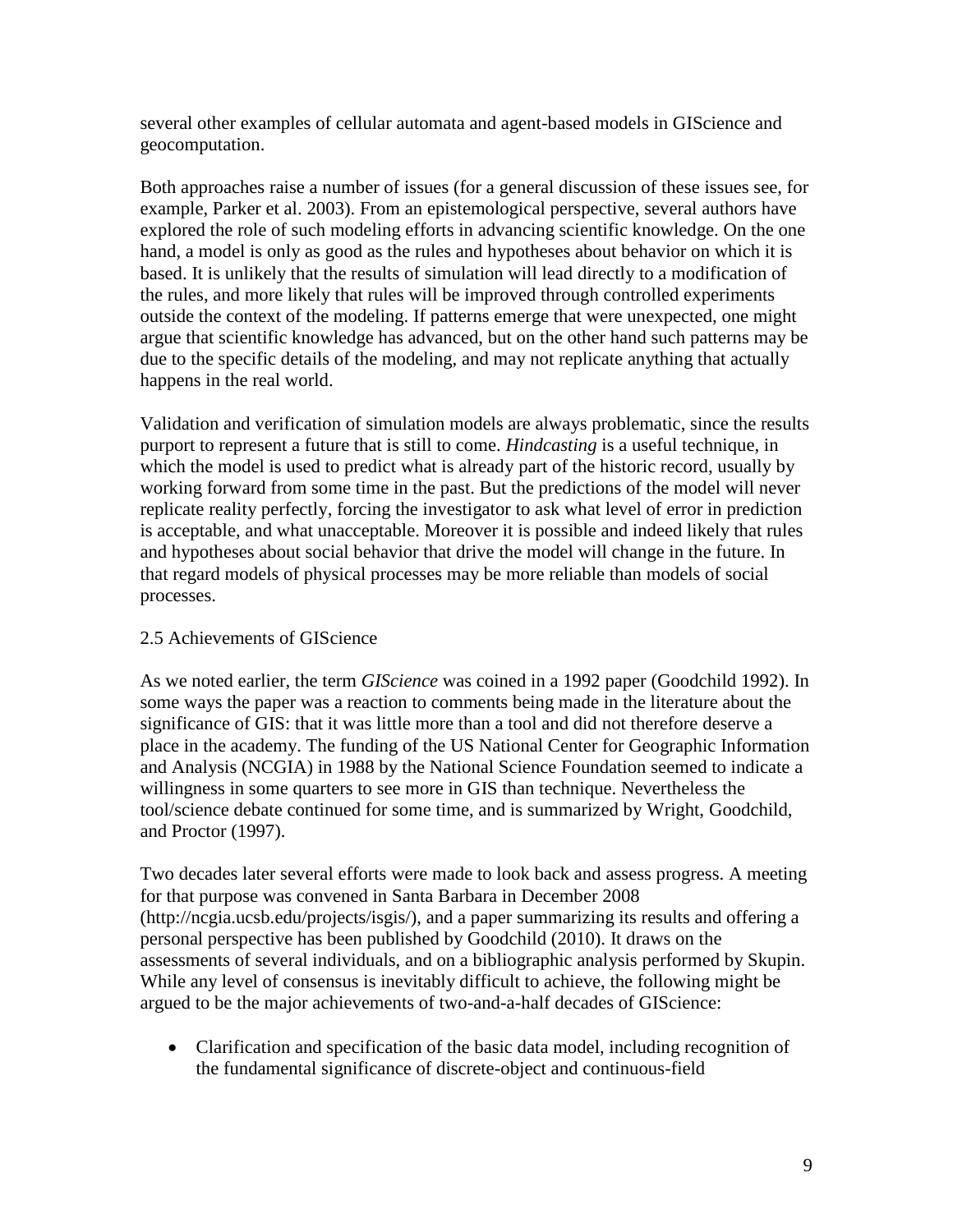several other examples of cellular automata and agent-based models in GIScience and geocomputation.

Both approaches raise a number of issues (for a general discussion of these issues see, for example, Parker et al. 2003). From an epistemological perspective, several authors have explored the role of such modeling efforts in advancing scientific knowledge. On the one hand, a model is only as good as the rules and hypotheses about behavior on which it is based. It is unlikely that the results of simulation will lead directly to a modification of the rules, and more likely that rules will be improved through controlled experiments outside the context of the modeling. If patterns emerge that were unexpected, one might argue that scientific knowledge has advanced, but on the other hand such patterns may be due to the specific details of the modeling, and may not replicate anything that actually happens in the real world.

Validation and verification of simulation models are always problematic, since the results purport to represent a future that is still to come. *Hindcasting* is a useful technique, in which the model is used to predict what is already part of the historic record, usually by working forward from some time in the past. But the predictions of the model will never replicate reality perfectly, forcing the investigator to ask what level of error in prediction is acceptable, and what unacceptable. Moreover it is possible and indeed likely that rules and hypotheses about social behavior that drive the model will change in the future. In that regard models of physical processes may be more reliable than models of social processes.

## 2.5 Achievements of GIScience

As we noted earlier, the term *GIScience* was coined in a 1992 paper (Goodchild 1992). In some ways the paper was a reaction to comments being made in the literature about the significance of GIS: that it was little more than a tool and did not therefore deserve a place in the academy. The funding of the US National Center for Geographic Information and Analysis (NCGIA) in 1988 by the National Science Foundation seemed to indicate a willingness in some quarters to see more in GIS than technique. Nevertheless the tool/science debate continued for some time, and is summarized by Wright, Goodchild, and Proctor (1997).

Two decades later several efforts were made to look back and assess progress. A meeting for that purpose was convened in Santa Barbara in December 2008 (http://ncgia.ucsb.edu/projects/isgis/), and a paper summarizing its results and offering a personal perspective has been published by Goodchild (2010). It draws on the assessments of several individuals, and on a bibliographic analysis performed by Skupin. While any level of consensus is inevitably difficult to achieve, the following might be argued to be the major achievements of two-and-a-half decades of GIScience:

 Clarification and specification of the basic data model, including recognition of the fundamental significance of discrete-object and continuous-field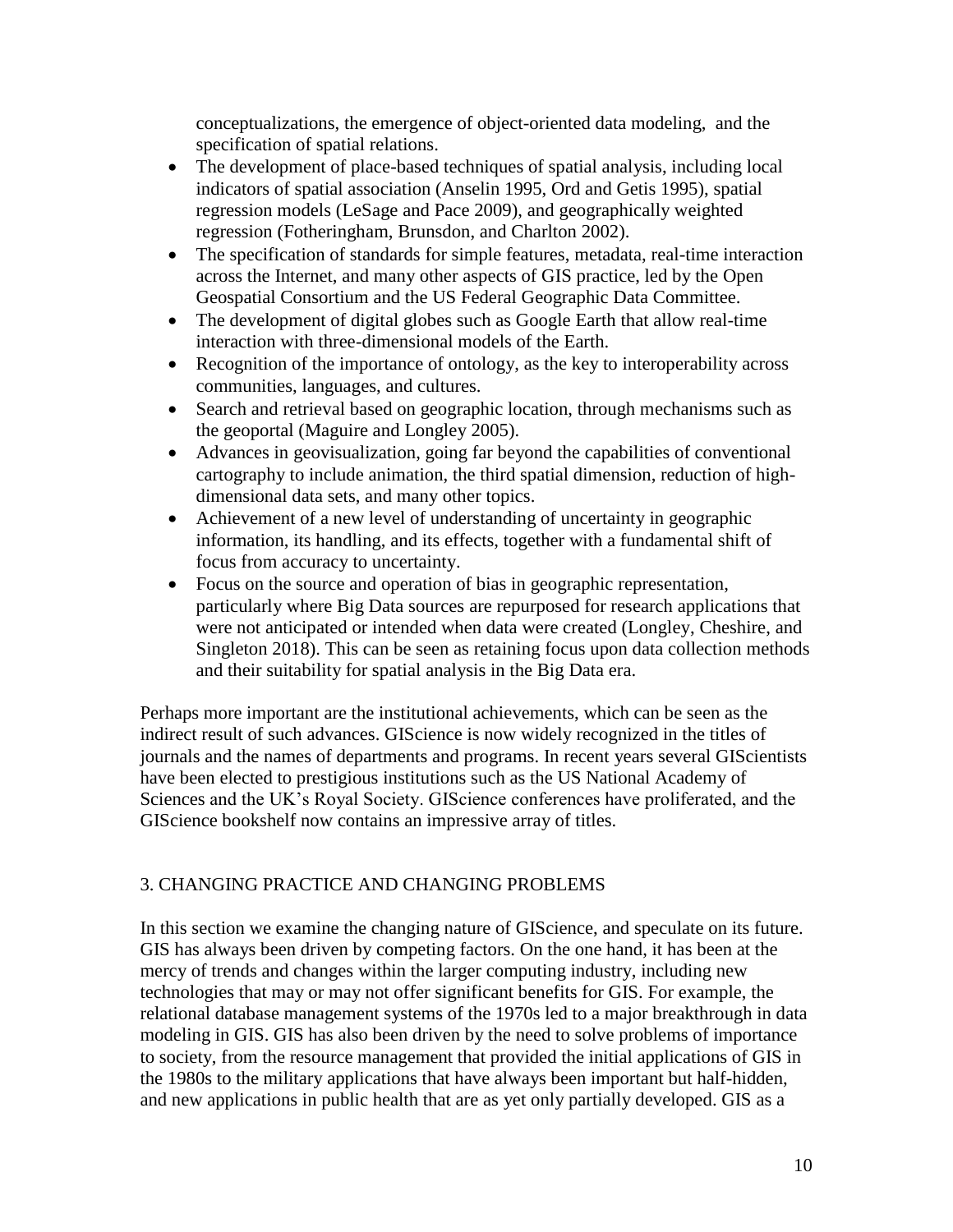conceptualizations, the emergence of object-oriented data modeling, and the specification of spatial relations.

- The development of place-based techniques of spatial analysis, including local indicators of spatial association (Anselin 1995, Ord and Getis 1995), spatial regression models (LeSage and Pace 2009), and geographically weighted regression (Fotheringham, Brunsdon, and Charlton 2002).
- The specification of standards for simple features, metadata, real-time interaction across the Internet, and many other aspects of GIS practice, led by the Open Geospatial Consortium and the US Federal Geographic Data Committee.
- The development of digital globes such as Google Earth that allow real-time interaction with three-dimensional models of the Earth.
- Recognition of the importance of ontology, as the key to interoperability across communities, languages, and cultures.
- Search and retrieval based on geographic location, through mechanisms such as the geoportal (Maguire and Longley 2005).
- Advances in geovisualization, going far beyond the capabilities of conventional cartography to include animation, the third spatial dimension, reduction of highdimensional data sets, and many other topics.
- Achievement of a new level of understanding of uncertainty in geographic information, its handling, and its effects, together with a fundamental shift of focus from accuracy to uncertainty.
- Focus on the source and operation of bias in geographic representation, particularly where Big Data sources are repurposed for research applications that were not anticipated or intended when data were created (Longley, Cheshire, and Singleton 2018). This can be seen as retaining focus upon data collection methods and their suitability for spatial analysis in the Big Data era.

Perhaps more important are the institutional achievements, which can be seen as the indirect result of such advances. GIScience is now widely recognized in the titles of journals and the names of departments and programs. In recent years several GIScientists have been elected to prestigious institutions such as the US National Academy of Sciences and the UK's Royal Society. GIScience conferences have proliferated, and the GIScience bookshelf now contains an impressive array of titles.

# 3. CHANGING PRACTICE AND CHANGING PROBLEMS

In this section we examine the changing nature of GIScience, and speculate on its future. GIS has always been driven by competing factors. On the one hand, it has been at the mercy of trends and changes within the larger computing industry, including new technologies that may or may not offer significant benefits for GIS. For example, the relational database management systems of the 1970s led to a major breakthrough in data modeling in GIS. GIS has also been driven by the need to solve problems of importance to society, from the resource management that provided the initial applications of GIS in the 1980s to the military applications that have always been important but half-hidden, and new applications in public health that are as yet only partially developed. GIS as a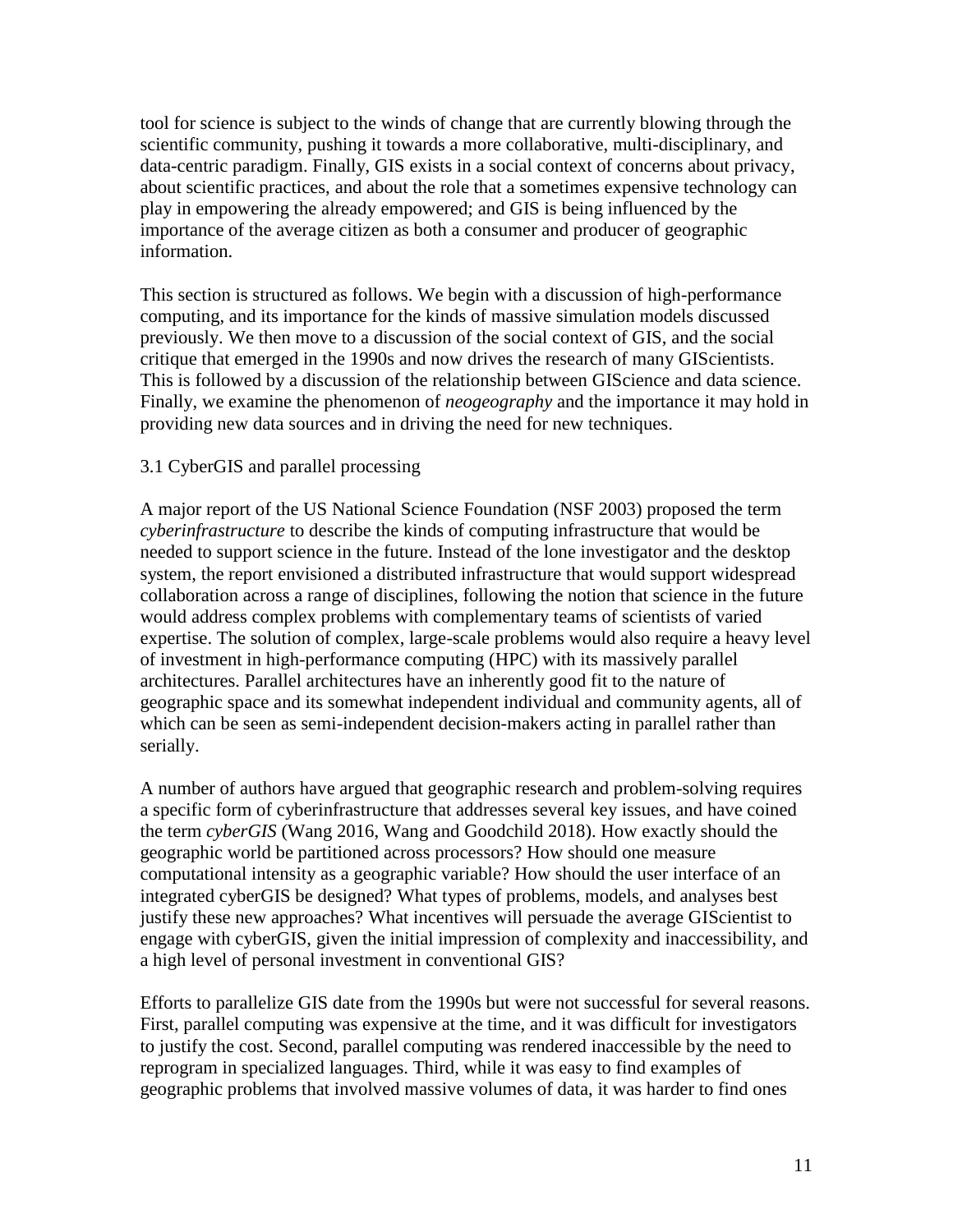tool for science is subject to the winds of change that are currently blowing through the scientific community, pushing it towards a more collaborative, multi-disciplinary, and data-centric paradigm. Finally, GIS exists in a social context of concerns about privacy, about scientific practices, and about the role that a sometimes expensive technology can play in empowering the already empowered; and GIS is being influenced by the importance of the average citizen as both a consumer and producer of geographic information.

This section is structured as follows. We begin with a discussion of high-performance computing, and its importance for the kinds of massive simulation models discussed previously. We then move to a discussion of the social context of GIS, and the social critique that emerged in the 1990s and now drives the research of many GIScientists. This is followed by a discussion of the relationship between GIScience and data science. Finally, we examine the phenomenon of *neogeography* and the importance it may hold in providing new data sources and in driving the need for new techniques.

## 3.1 CyberGIS and parallel processing

A major report of the US National Science Foundation (NSF 2003) proposed the term *cyberinfrastructure* to describe the kinds of computing infrastructure that would be needed to support science in the future. Instead of the lone investigator and the desktop system, the report envisioned a distributed infrastructure that would support widespread collaboration across a range of disciplines, following the notion that science in the future would address complex problems with complementary teams of scientists of varied expertise. The solution of complex, large-scale problems would also require a heavy level of investment in high-performance computing (HPC) with its massively parallel architectures. Parallel architectures have an inherently good fit to the nature of geographic space and its somewhat independent individual and community agents, all of which can be seen as semi-independent decision-makers acting in parallel rather than serially.

A number of authors have argued that geographic research and problem-solving requires a specific form of cyberinfrastructure that addresses several key issues, and have coined the term *cyberGIS* (Wang 2016, Wang and Goodchild 2018). How exactly should the geographic world be partitioned across processors? How should one measure computational intensity as a geographic variable? How should the user interface of an integrated cyberGIS be designed? What types of problems, models, and analyses best justify these new approaches? What incentives will persuade the average GIScientist to engage with cyberGIS, given the initial impression of complexity and inaccessibility, and a high level of personal investment in conventional GIS?

Efforts to parallelize GIS date from the 1990s but were not successful for several reasons. First, parallel computing was expensive at the time, and it was difficult for investigators to justify the cost. Second, parallel computing was rendered inaccessible by the need to reprogram in specialized languages. Third, while it was easy to find examples of geographic problems that involved massive volumes of data, it was harder to find ones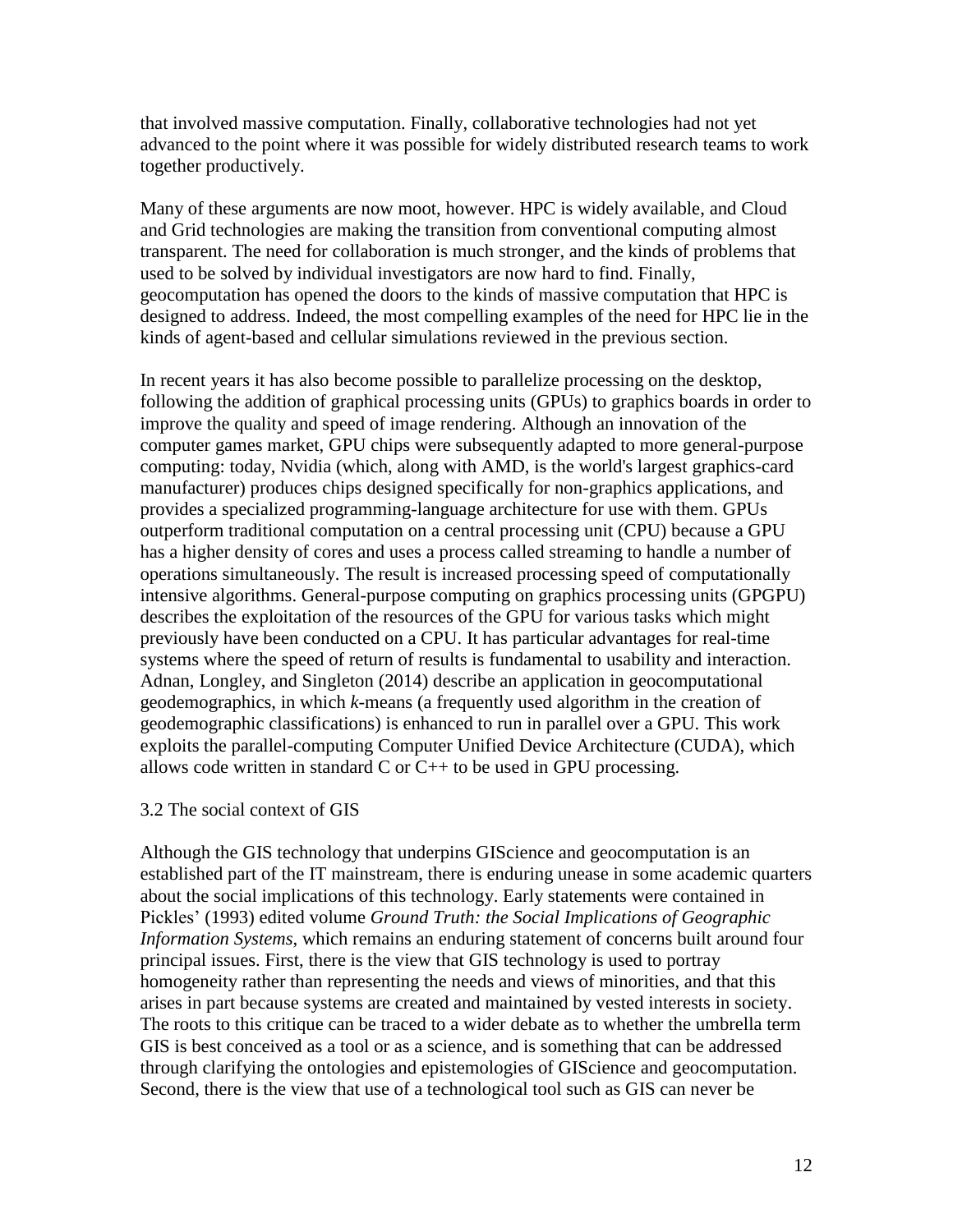that involved massive computation. Finally, collaborative technologies had not yet advanced to the point where it was possible for widely distributed research teams to work together productively.

Many of these arguments are now moot, however. HPC is widely available, and Cloud and Grid technologies are making the transition from conventional computing almost transparent. The need for collaboration is much stronger, and the kinds of problems that used to be solved by individual investigators are now hard to find. Finally, geocomputation has opened the doors to the kinds of massive computation that HPC is designed to address. Indeed, the most compelling examples of the need for HPC lie in the kinds of agent-based and cellular simulations reviewed in the previous section.

In recent years it has also become possible to parallelize processing on the desktop, following the addition of graphical processing units (GPUs) to graphics boards in order to improve the quality and speed of image rendering. Although an innovation of the computer games market, GPU chips were subsequently adapted to more general-purpose computing: today, Nvidia (which, along with AMD, is the world's largest graphics-card manufacturer) produces chips designed specifically for non-graphics applications, and provides a specialized programming-language architecture for use with them. GPUs outperform traditional computation on a central processing unit (CPU) because a GPU has a higher density of cores and uses a process called streaming to handle a number of operations simultaneously. The result is increased processing speed of computationally intensive algorithms. General-purpose computing on graphics processing units (GPGPU) describes the exploitation of the resources of the GPU for various tasks which might previously have been conducted on a CPU. It has particular advantages for real-time systems where the speed of return of results is fundamental to usability and interaction. Adnan, Longley, and Singleton (2014) describe an application in geocomputational geodemographics, in which *k*-means (a frequently used algorithm in the creation of geodemographic classifications) is enhanced to run in parallel over a GPU. This work exploits the parallel-computing Computer Unified Device Architecture (CUDA), which allows code written in standard C or  $C_{++}$  to be used in GPU processing.

### 3.2 The social context of GIS

Although the GIS technology that underpins GIScience and geocomputation is an established part of the IT mainstream, there is enduring unease in some academic quarters about the social implications of this technology. Early statements were contained in Pickles' (1993) edited volume *Ground Truth: the Social Implications of Geographic Information Systems*, which remains an enduring statement of concerns built around four principal issues. First, there is the view that GIS technology is used to portray homogeneity rather than representing the needs and views of minorities, and that this arises in part because systems are created and maintained by vested interests in society. The roots to this critique can be traced to a wider debate as to whether the umbrella term GIS is best conceived as a tool or as a science, and is something that can be addressed through clarifying the ontologies and epistemologies of GIScience and geocomputation. Second, there is the view that use of a technological tool such as GIS can never be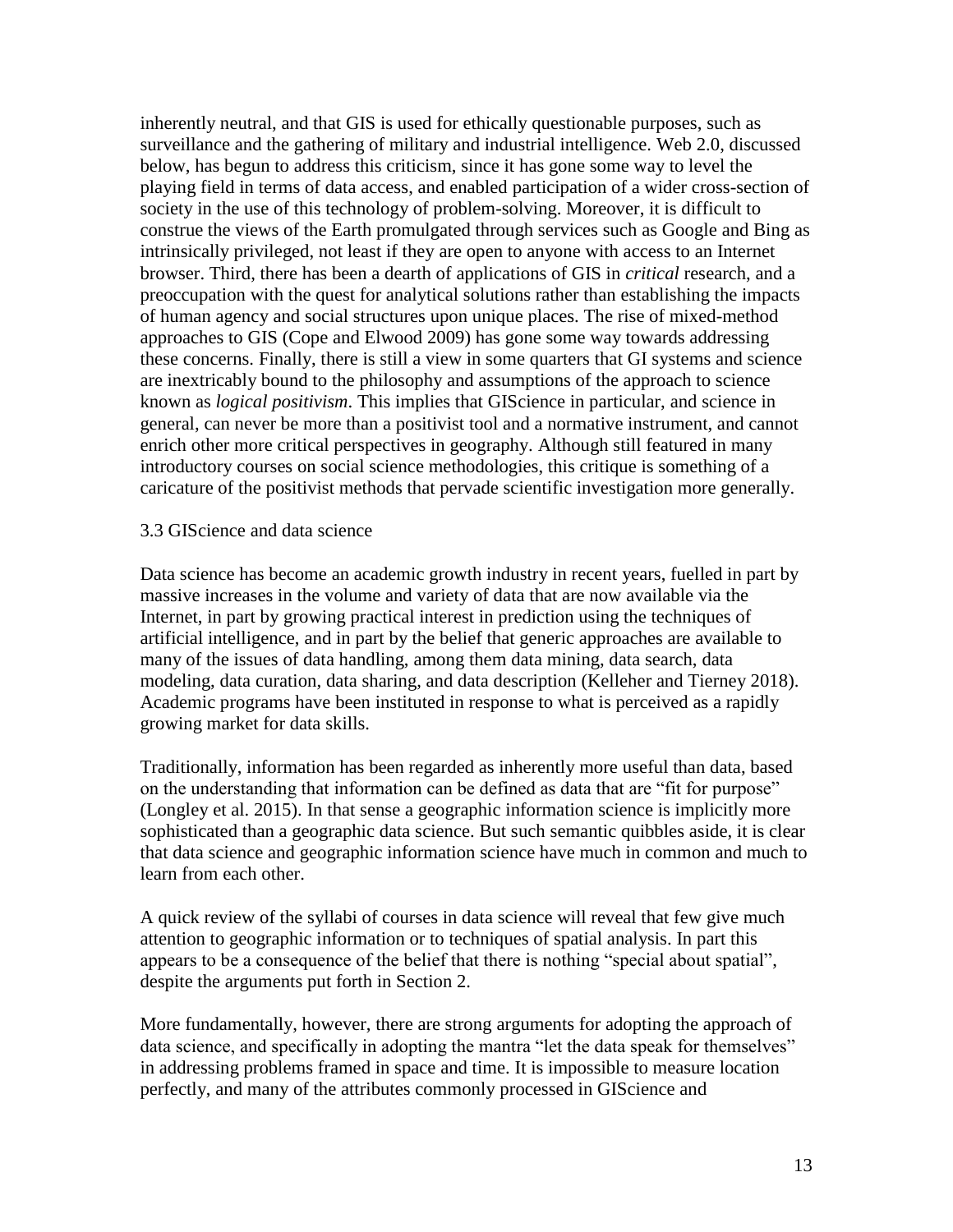inherently neutral, and that GIS is used for ethically questionable purposes, such as surveillance and the gathering of military and industrial intelligence. Web 2.0, discussed below, has begun to address this criticism, since it has gone some way to level the playing field in terms of data access, and enabled participation of a wider cross-section of society in the use of this technology of problem-solving. Moreover, it is difficult to construe the views of the Earth promulgated through services such as Google and Bing as intrinsically privileged, not least if they are open to anyone with access to an Internet browser. Third, there has been a dearth of applications of GIS in *critical* research, and a preoccupation with the quest for analytical solutions rather than establishing the impacts of human agency and social structures upon unique places. The rise of mixed-method approaches to GIS (Cope and Elwood 2009) has gone some way towards addressing these concerns. Finally, there is still a view in some quarters that GI systems and science are inextricably bound to the philosophy and assumptions of the approach to science known as *logical positivism*. This implies that GIScience in particular, and science in general, can never be more than a positivist tool and a normative instrument, and cannot enrich other more critical perspectives in geography. Although still featured in many introductory courses on social science methodologies, this critique is something of a caricature of the positivist methods that pervade scientific investigation more generally.

### 3.3 GIScience and data science

Data science has become an academic growth industry in recent years, fuelled in part by massive increases in the volume and variety of data that are now available via the Internet, in part by growing practical interest in prediction using the techniques of artificial intelligence, and in part by the belief that generic approaches are available to many of the issues of data handling, among them data mining, data search, data modeling, data curation, data sharing, and data description (Kelleher and Tierney 2018). Academic programs have been instituted in response to what is perceived as a rapidly growing market for data skills.

Traditionally, information has been regarded as inherently more useful than data, based on the understanding that information can be defined as data that are "fit for purpose" (Longley et al. 2015). In that sense a geographic information science is implicitly more sophisticated than a geographic data science. But such semantic quibbles aside, it is clear that data science and geographic information science have much in common and much to learn from each other.

A quick review of the syllabi of courses in data science will reveal that few give much attention to geographic information or to techniques of spatial analysis. In part this appears to be a consequence of the belief that there is nothing "special about spatial", despite the arguments put forth in Section 2.

More fundamentally, however, there are strong arguments for adopting the approach of data science, and specifically in adopting the mantra "let the data speak for themselves" in addressing problems framed in space and time. It is impossible to measure location perfectly, and many of the attributes commonly processed in GIScience and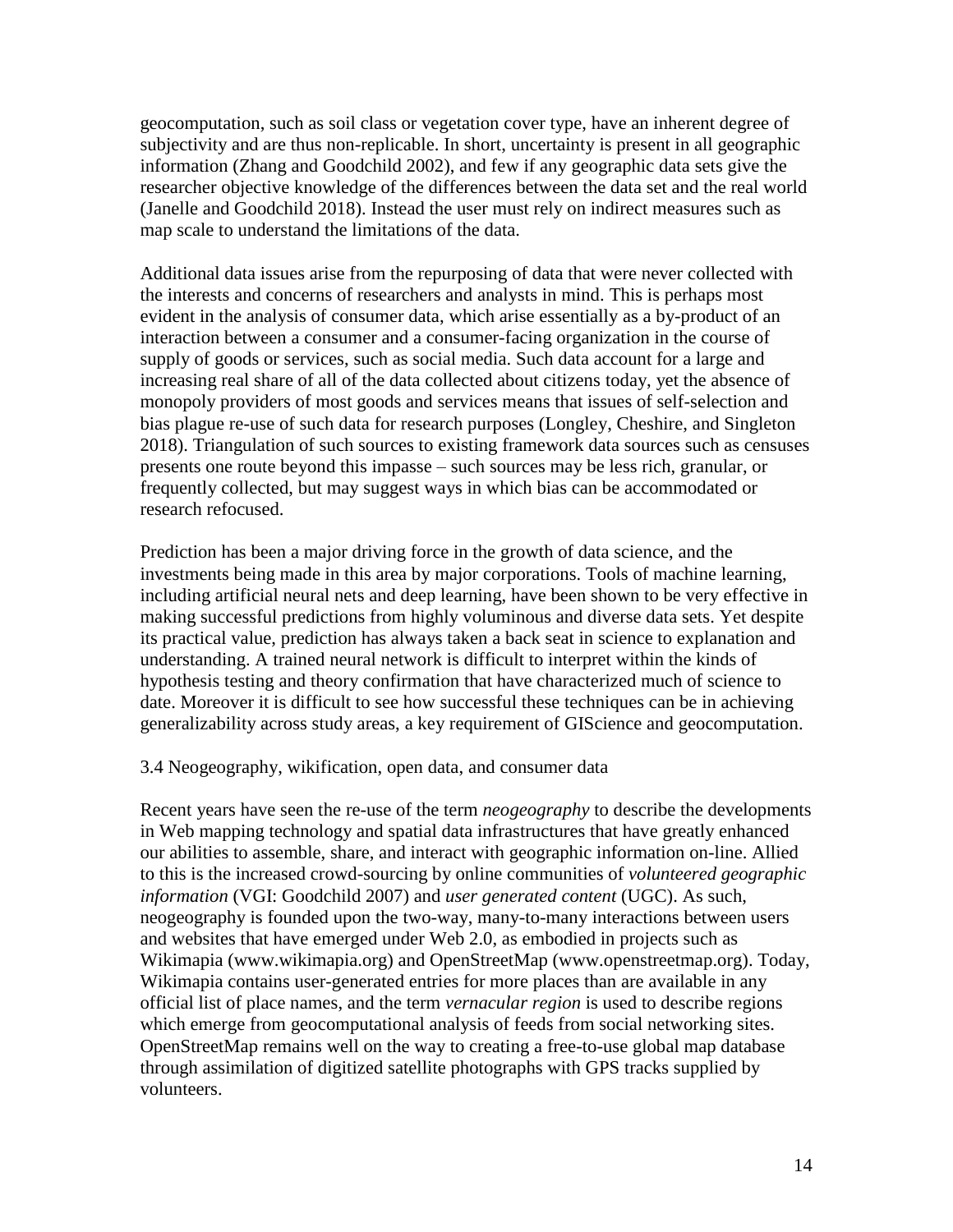geocomputation, such as soil class or vegetation cover type, have an inherent degree of subjectivity and are thus non-replicable. In short, uncertainty is present in all geographic information (Zhang and Goodchild 2002), and few if any geographic data sets give the researcher objective knowledge of the differences between the data set and the real world (Janelle and Goodchild 2018). Instead the user must rely on indirect measures such as map scale to understand the limitations of the data.

Additional data issues arise from the repurposing of data that were never collected with the interests and concerns of researchers and analysts in mind. This is perhaps most evident in the analysis of consumer data, which arise essentially as a by-product of an interaction between a consumer and a consumer-facing organization in the course of supply of goods or services, such as social media. Such data account for a large and increasing real share of all of the data collected about citizens today, yet the absence of monopoly providers of most goods and services means that issues of self-selection and bias plague re-use of such data for research purposes (Longley, Cheshire, and Singleton 2018). Triangulation of such sources to existing framework data sources such as censuses presents one route beyond this impasse – such sources may be less rich, granular, or frequently collected, but may suggest ways in which bias can be accommodated or research refocused.

Prediction has been a major driving force in the growth of data science, and the investments being made in this area by major corporations. Tools of machine learning, including artificial neural nets and deep learning, have been shown to be very effective in making successful predictions from highly voluminous and diverse data sets. Yet despite its practical value, prediction has always taken a back seat in science to explanation and understanding. A trained neural network is difficult to interpret within the kinds of hypothesis testing and theory confirmation that have characterized much of science to date. Moreover it is difficult to see how successful these techniques can be in achieving generalizability across study areas, a key requirement of GIScience and geocomputation.

### 3.4 Neogeography, wikification, open data, and consumer data

Recent years have seen the re-use of the term *neogeography* to describe the developments in Web mapping technology and spatial data infrastructures that have greatly enhanced our abilities to assemble, share, and interact with geographic information on-line. Allied to this is the increased crowd-sourcing by online communities of *volunteered geographic information* (VGI: Goodchild 2007) and *user generated content* (UGC). As such, neogeography is founded upon the two-way, many-to-many interactions between users and websites that have emerged under Web 2.0, as embodied in projects such as Wikimapia (www.wikimapia.org) and OpenStreetMap (www.openstreetmap.org). Today, Wikimapia contains user-generated entries for more places than are available in any official list of place names, and the term *vernacular region* is used to describe regions which emerge from geocomputational analysis of feeds from social networking sites. OpenStreetMap remains well on the way to creating a free-to-use global map database through assimilation of digitized satellite photographs with GPS tracks supplied by volunteers.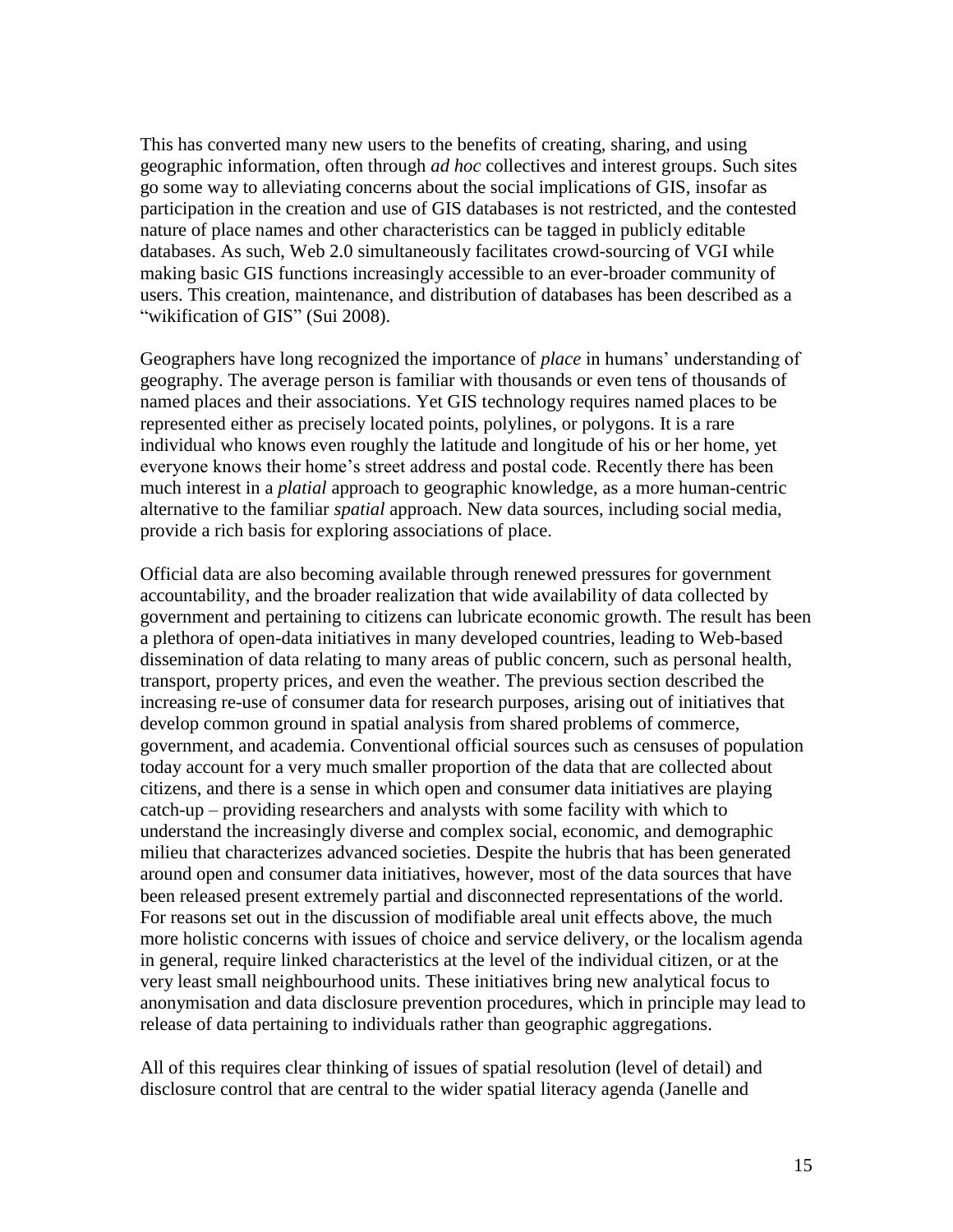This has converted many new users to the benefits of creating, sharing, and using geographic information, often through *ad hoc* collectives and interest groups. Such sites go some way to alleviating concerns about the social implications of GIS, insofar as participation in the creation and use of GIS databases is not restricted, and the contested nature of place names and other characteristics can be tagged in publicly editable databases. As such, Web 2.0 simultaneously facilitates crowd-sourcing of VGI while making basic GIS functions increasingly accessible to an ever-broader community of users. This creation, maintenance, and distribution of databases has been described as a "wikification of GIS" (Sui 2008).

Geographers have long recognized the importance of *place* in humans' understanding of geography. The average person is familiar with thousands or even tens of thousands of named places and their associations. Yet GIS technology requires named places to be represented either as precisely located points, polylines, or polygons. It is a rare individual who knows even roughly the latitude and longitude of his or her home, yet everyone knows their home's street address and postal code. Recently there has been much interest in a *platial* approach to geographic knowledge, as a more human-centric alternative to the familiar *spatial* approach. New data sources, including social media, provide a rich basis for exploring associations of place.

Official data are also becoming available through renewed pressures for government accountability, and the broader realization that wide availability of data collected by government and pertaining to citizens can lubricate economic growth. The result has been a plethora of open-data initiatives in many developed countries, leading to Web-based dissemination of data relating to many areas of public concern, such as personal health, transport, property prices, and even the weather. The previous section described the increasing re-use of consumer data for research purposes, arising out of initiatives that develop common ground in spatial analysis from shared problems of commerce, government, and academia. Conventional official sources such as censuses of population today account for a very much smaller proportion of the data that are collected about citizens, and there is a sense in which open and consumer data initiatives are playing catch-up – providing researchers and analysts with some facility with which to understand the increasingly diverse and complex social, economic, and demographic milieu that characterizes advanced societies. Despite the hubris that has been generated around open and consumer data initiatives, however, most of the data sources that have been released present extremely partial and disconnected representations of the world. For reasons set out in the discussion of modifiable areal unit effects above, the much more holistic concerns with issues of choice and service delivery, or the localism agenda in general, require linked characteristics at the level of the individual citizen, or at the very least small neighbourhood units. These initiatives bring new analytical focus to anonymisation and data disclosure prevention procedures, which in principle may lead to release of data pertaining to individuals rather than geographic aggregations.

All of this requires clear thinking of issues of spatial resolution (level of detail) and disclosure control that are central to the wider spatial literacy agenda (Janelle and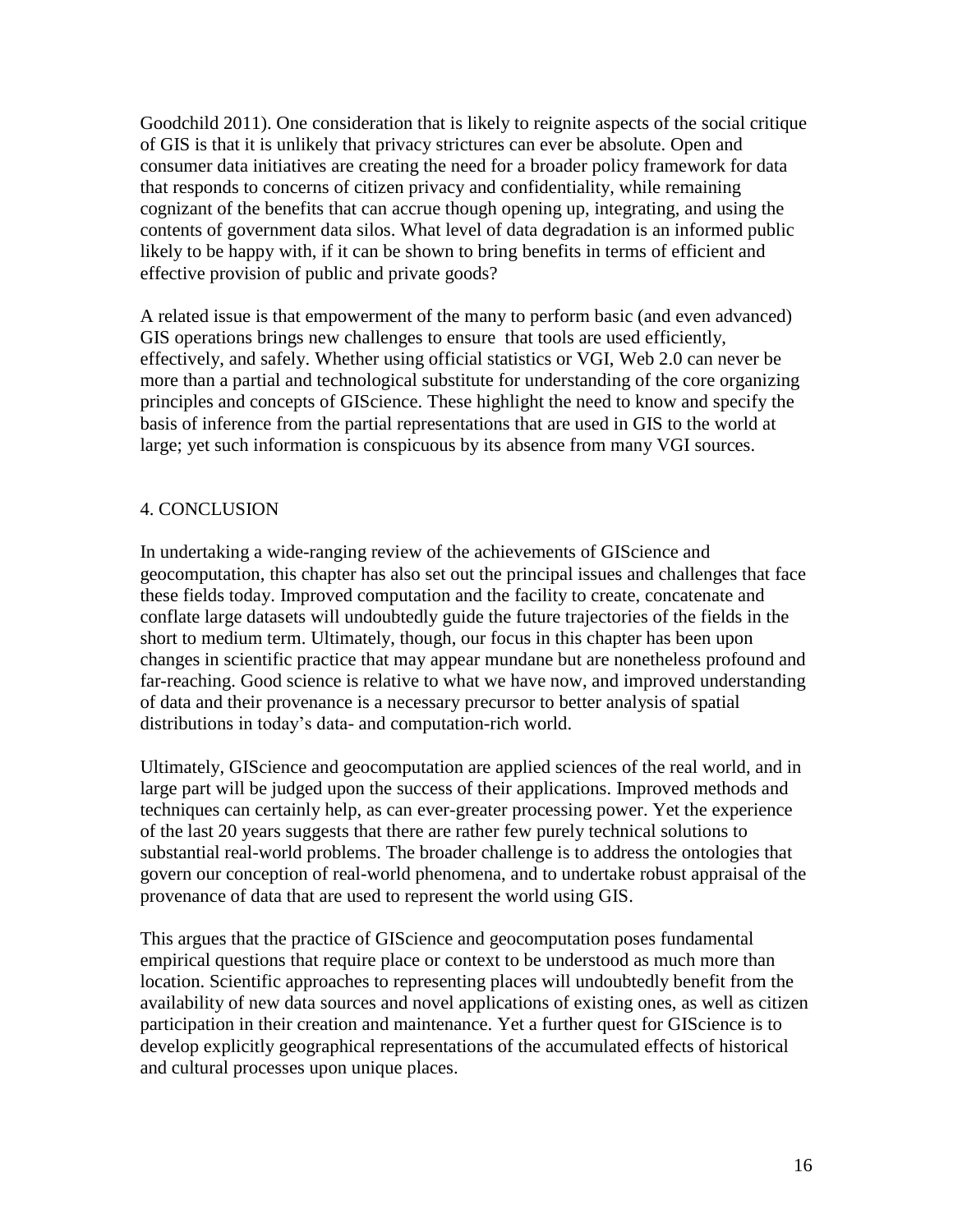Goodchild 2011). One consideration that is likely to reignite aspects of the social critique of GIS is that it is unlikely that privacy strictures can ever be absolute. Open and consumer data initiatives are creating the need for a broader policy framework for data that responds to concerns of citizen privacy and confidentiality, while remaining cognizant of the benefits that can accrue though opening up, integrating, and using the contents of government data silos. What level of data degradation is an informed public likely to be happy with, if it can be shown to bring benefits in terms of efficient and effective provision of public and private goods?

A related issue is that empowerment of the many to perform basic (and even advanced) GIS operations brings new challenges to ensure that tools are used efficiently, effectively, and safely. Whether using official statistics or VGI, Web 2.0 can never be more than a partial and technological substitute for understanding of the core organizing principles and concepts of GIScience. These highlight the need to know and specify the basis of inference from the partial representations that are used in GIS to the world at large; yet such information is conspicuous by its absence from many VGI sources.

## 4. CONCLUSION

In undertaking a wide-ranging review of the achievements of GIScience and geocomputation, this chapter has also set out the principal issues and challenges that face these fields today. Improved computation and the facility to create, concatenate and conflate large datasets will undoubtedly guide the future trajectories of the fields in the short to medium term. Ultimately, though, our focus in this chapter has been upon changes in scientific practice that may appear mundane but are nonetheless profound and far-reaching. Good science is relative to what we have now, and improved understanding of data and their provenance is a necessary precursor to better analysis of spatial distributions in today's data- and computation-rich world.

Ultimately, GIScience and geocomputation are applied sciences of the real world, and in large part will be judged upon the success of their applications. Improved methods and techniques can certainly help, as can ever-greater processing power. Yet the experience of the last 20 years suggests that there are rather few purely technical solutions to substantial real-world problems. The broader challenge is to address the ontologies that govern our conception of real-world phenomena, and to undertake robust appraisal of the provenance of data that are used to represent the world using GIS.

This argues that the practice of GIScience and geocomputation poses fundamental empirical questions that require place or context to be understood as much more than location. Scientific approaches to representing places will undoubtedly benefit from the availability of new data sources and novel applications of existing ones, as well as citizen participation in their creation and maintenance. Yet a further quest for GIScience is to develop explicitly geographical representations of the accumulated effects of historical and cultural processes upon unique places.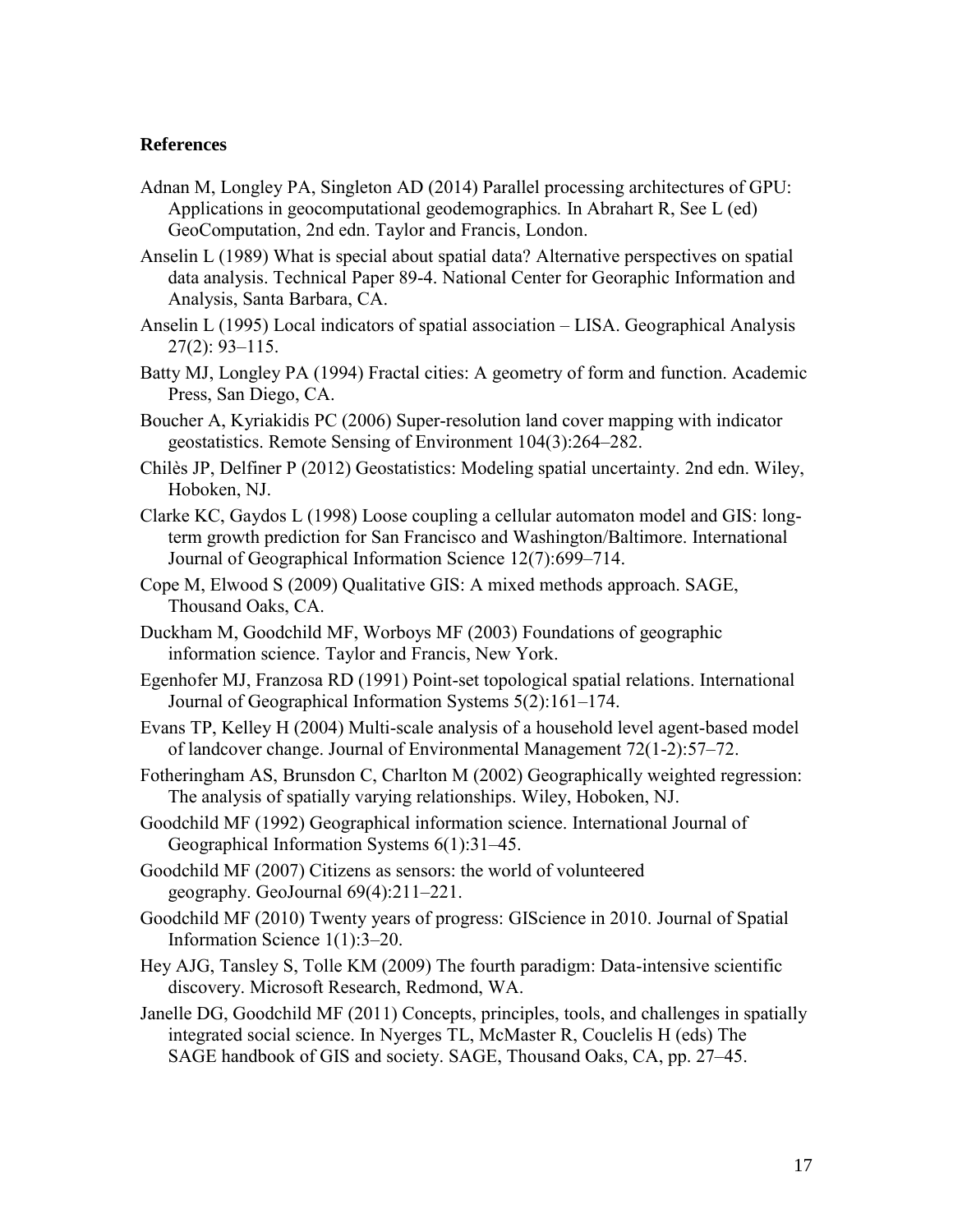### **References**

- Adnan M, Longley PA, Singleton AD (2014) Parallel processing architectures of GPU: Applications in geocomputational geodemographics*.* In Abrahart R, See L (ed) GeoComputation, 2nd edn. Taylor and Francis, London.
- Anselin L (1989) What is special about spatial data? Alternative perspectives on spatial data analysis. Technical Paper 89-4. National Center for Georaphic Information and Analysis, Santa Barbara, CA.
- Anselin L (1995) Local indicators of spatial association LISA. Geographical Analysis 27(2): 93–115.
- Batty MJ, Longley PA (1994) Fractal cities: A geometry of form and function. Academic Press, San Diego, CA.
- Boucher A, Kyriakidis PC (2006) Super-resolution land cover mapping with indicator geostatistics. Remote Sensing of Environment 104(3):264–282.
- Chilès JP, Delfiner P (2012) Geostatistics: Modeling spatial uncertainty. 2nd edn. Wiley, Hoboken, NJ.
- Clarke KC, Gaydos L (1998) Loose coupling a cellular automaton model and GIS: longterm growth prediction for San Francisco and Washington/Baltimore. International Journal of Geographical Information Science 12(7):699–714.
- Cope M, Elwood S (2009) Qualitative GIS: A mixed methods approach. SAGE, Thousand Oaks, CA.
- Duckham M, Goodchild MF, Worboys MF (2003) Foundations of geographic information science. Taylor and Francis, New York.
- Egenhofer MJ, Franzosa RD (1991) Point-set topological spatial relations. International Journal of Geographical Information Systems 5(2):161–174.
- Evans TP, Kelley H (2004) Multi-scale analysis of a household level agent-based model of landcover change. Journal of Environmental Management 72(1-2):57–72.
- Fotheringham AS, Brunsdon C, Charlton M (2002) Geographically weighted regression: The analysis of spatially varying relationships. Wiley, Hoboken, NJ.
- Goodchild MF (1992) Geographical information science. International Journal of Geographical Information Systems 6(1):31–45.
- Goodchild MF (2007) Citizens as sensors: the world of volunteered geography. GeoJournal 69(4):211–221.
- Goodchild MF (2010) Twenty years of progress: GIScience in 2010. Journal of Spatial Information Science 1(1):3–20.
- Hey AJG, Tansley S, Tolle KM (2009) The fourth paradigm: Data-intensive scientific discovery. Microsoft Research, Redmond, WA.
- Janelle DG, Goodchild MF (2011) Concepts, principles, tools, and challenges in spatially integrated social science. In Nyerges TL, McMaster R, Couclelis H (eds) The SAGE handbook of GIS and society. SAGE, Thousand Oaks, CA, pp. 27–45.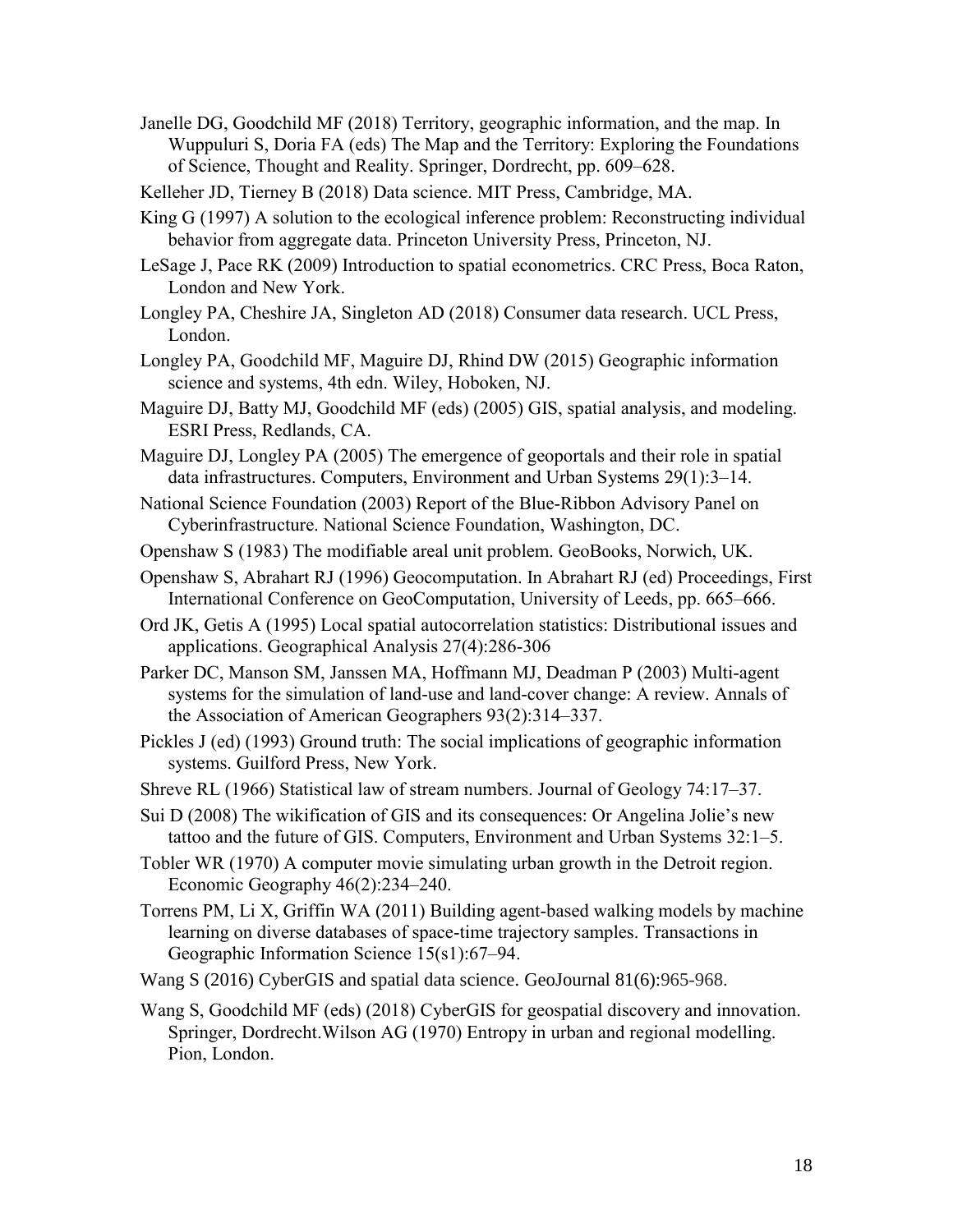- Janelle DG, Goodchild MF (2018) Territory, geographic information, and the map. In Wuppuluri S, Doria FA (eds) The Map and the Territory: Exploring the Foundations of Science, Thought and Reality. Springer, Dordrecht, pp. 609–628.
- Kelleher JD, Tierney B (2018) Data science. MIT Press, Cambridge, MA.
- King G (1997) A solution to the ecological inference problem: Reconstructing individual behavior from aggregate data. Princeton University Press, Princeton, NJ.
- LeSage J, Pace RK (2009) Introduction to spatial econometrics. CRC Press, Boca Raton, London and New York.
- Longley PA, Cheshire JA, Singleton AD (2018) Consumer data research. UCL Press, London.
- Longley PA, Goodchild MF, Maguire DJ, Rhind DW (2015) Geographic information science and systems, 4th edn. Wiley, Hoboken, NJ.
- Maguire DJ, Batty MJ, Goodchild MF (eds) (2005) GIS, spatial analysis, and modeling. ESRI Press, Redlands, CA.
- Maguire DJ, Longley PA (2005) The emergence of geoportals and their role in spatial data infrastructures. Computers, Environment and Urban Systems 29(1):3–14.
- National Science Foundation (2003) Report of the Blue-Ribbon Advisory Panel on Cyberinfrastructure. National Science Foundation, Washington, DC.
- Openshaw S (1983) The modifiable areal unit problem. GeoBooks, Norwich, UK.
- Openshaw S, Abrahart RJ (1996) Geocomputation. In Abrahart RJ (ed) Proceedings, First International Conference on GeoComputation, University of Leeds, pp. 665–666.
- Ord JK, Getis A (1995) Local spatial autocorrelation statistics: Distributional issues and applications. Geographical Analysis 27(4):286-306
- Parker DC, Manson SM, Janssen MA, Hoffmann MJ, Deadman P (2003) Multi-agent systems for the simulation of land-use and land-cover change: A review. Annals of the Association of American Geographers 93(2):314–337.
- Pickles J (ed) (1993) Ground truth: The social implications of geographic information systems. Guilford Press, New York.
- Shreve RL (1966) Statistical law of stream numbers. Journal of Geology 74:17–37.
- Sui D (2008) The wikification of GIS and its consequences: Or Angelina Jolie's new tattoo and the future of GIS. Computers, Environment and Urban Systems 32:1–5.
- Tobler WR (1970) A computer movie simulating urban growth in the Detroit region. Economic Geography 46(2):234–240.
- Torrens PM, Li X, Griffin WA (2011) Building agent-based walking models by machine learning on diverse databases of space-time trajectory samples. Transactions in Geographic Information Science 15(s1):67–94.
- Wang S (2016) CyberGIS and spatial data science. GeoJournal 81(6):965-968.
- Wang S, Goodchild MF (eds) (2018) CyberGIS for geospatial discovery and innovation. Springer, Dordrecht.Wilson AG (1970) Entropy in urban and regional modelling. Pion, London.